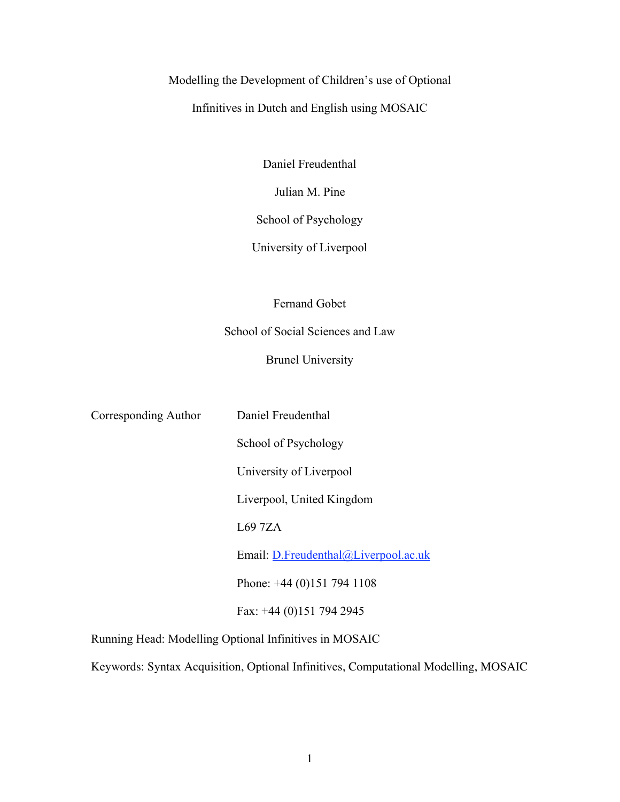# Modelling the Development of Children's use of Optional

Infinitives in Dutch and English using MOSAIC

Daniel Freudenthal

Julian M. Pine

School of Psychology

University of Liverpool

Fernand Gobet

School of Social Sciences and Law

Brunel University

Corresponding Author Daniel Freudenthal School of Psychology University of Liverpool Liverpool, United Kingdom L69 7ZA Email: D.Freudenthal@Liverpool.ac.uk Phone: +44 (0)151 794 1108 Fax: +44 (0)151 794 2945

Running Head: Modelling Optional Infinitives in MOSAIC

Keywords: Syntax Acquisition, Optional Infinitives, Computational Modelling, MOSAIC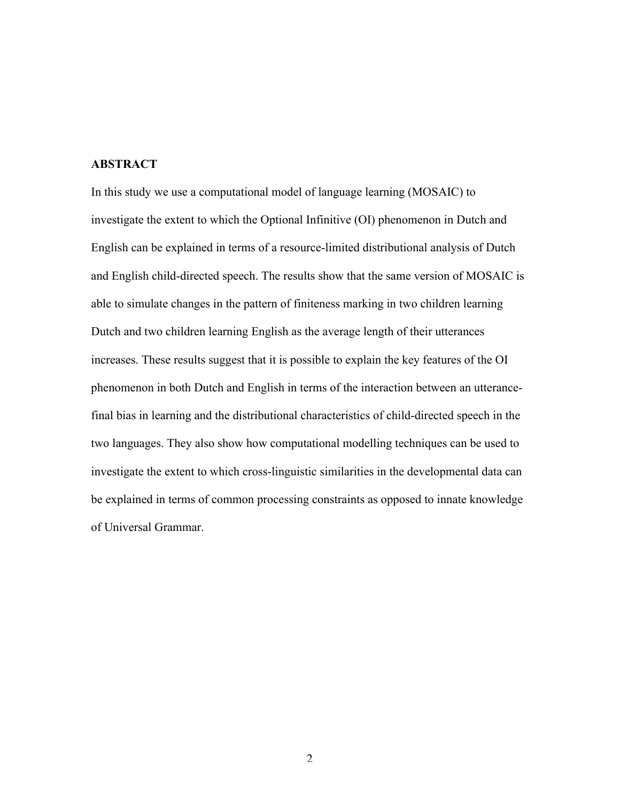### **ABSTRACT**

In this study we use a computational model of language learning (MOSAIC) to investigate the extent to which the Optional Infinitive (OI) phenomenon in Dutch and English can be explained in terms of a resource-limited distributional analysis of Dutch and English child-directed speech. The results show that the same version of MOSAIC is able to simulate changes in the pattern of finiteness marking in two children learning Dutch and two children learning English as the average length of their utterances increases. These results suggest that it is possible to explain the key features of the OI phenomenon in both Dutch and English in terms of the interaction between an utterancefinal bias in learning and the distributional characteristics of child-directed speech in the two languages. They also show how computational modelling techniques can be used to investigate the extent to which cross-linguistic similarities in the developmental data can be explained in terms of common processing constraints as opposed to innate knowledge of Universal Grammar.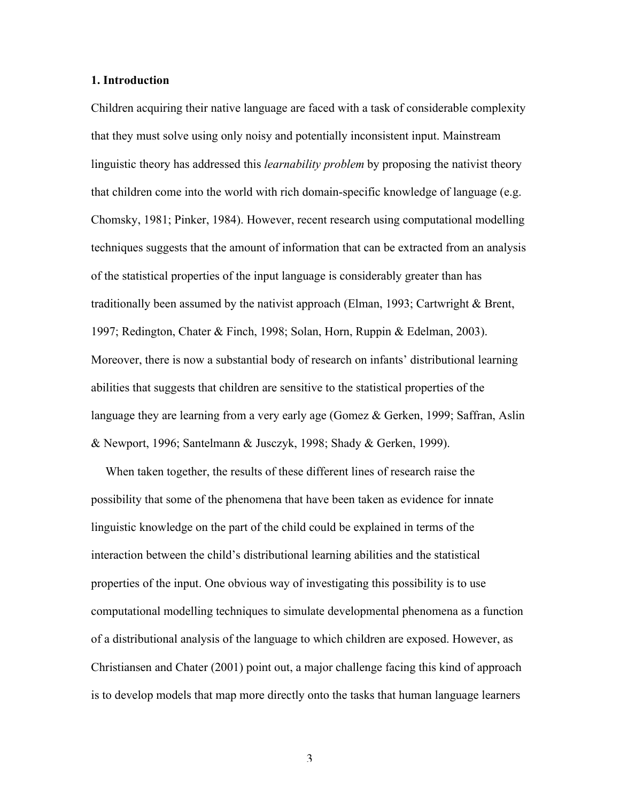### 1. Introduction

Children acquiring their native language are faced with a task of considerable complexity that they must solve using only noisy and potentially inconsistent input. Mainstream linguistic theory has addressed this *learnability problem* by proposing the nativist theory that children come into the world with rich domain-specific knowledge of language (e.g. Chomsky, 1981; Pinker, 1984). However, recent research using computational modelling techniques suggests that the amount of information that can be extracted from an analysis of the statistical properties of the input language is considerably greater than has traditionally been assumed by the nativist approach (Elman, 1993; Cartwright & Brent, 1997; Redington, Chater & Finch, 1998; Solan, Horn, Ruppin & Edelman, 2003). Moreover, there is now a substantial body of research on infants' distributional learning abilities that suggests that children are sensitive to the statistical properties of the language they are learning from a very early age (Gomez & Gerken, 1999; Saffran, Aslin & Newport, 1996; Santelmann & Jusczyk, 1998; Shady & Gerken, 1999).

When taken together, the results of these different lines of research raise the possibility that some of the phenomena that have been taken as evidence for innate linguistic knowledge on the part of the child could be explained in terms of the interaction between the child's distributional learning abilities and the statistical properties of the input. One obvious way of investigating this possibility is to use computational modelling techniques to simulate developmental phenomena as a function of a distributional analysis of the language to which children are exposed. However, as Christiansen and Chater (2001) point out, a major challenge facing this kind of approach is to develop models that map more directly onto the tasks that human language learners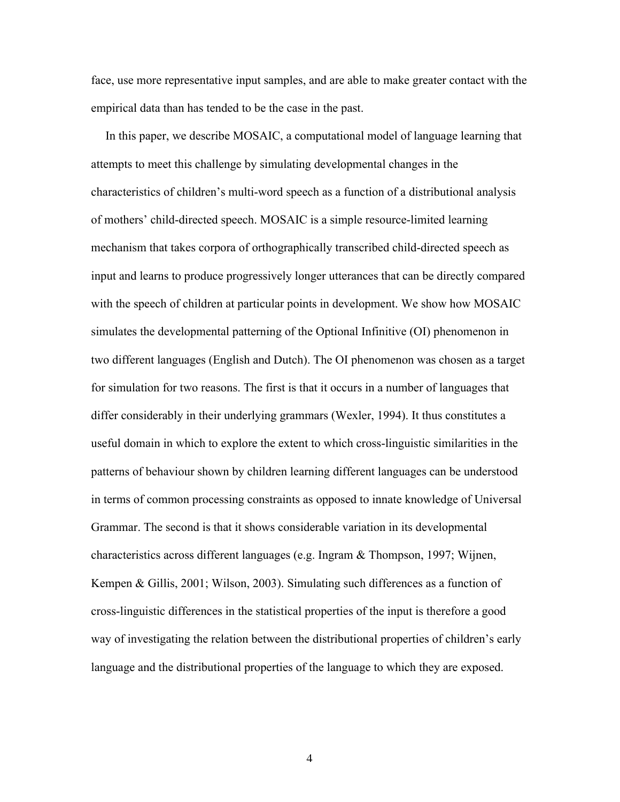face, use more representative input samples, and are able to make greater contact with the empirical data than has tended to be the case in the past.

In this paper, we describe MOSAIC, a computational model of language learning that attempts to meet this challenge by simulating developmental changes in the characteristics of children's multi-word speech as a function of a distributional analysis of mothers' child-directed speech. MOSAIC is a simple resource-limited learning mechanism that takes corpora of orthographically transcribed child-directed speech as input and learns to produce progressively longer utterances that can be directly compared with the speech of children at particular points in development. We show how MOSAIC simulates the developmental patterning of the Optional Infinitive (OI) phenomenon in two different languages (English and Dutch). The OI phenomenon was chosen as a target for simulation for two reasons. The first is that it occurs in a number of languages that differ considerably in their underlying grammars (Wexler, 1994). It thus constitutes a useful domain in which to explore the extent to which cross-linguistic similarities in the patterns of behaviour shown by children learning different languages can be understood in terms of common processing constraints as opposed to innate knowledge of Universal Grammar. The second is that it shows considerable variation in its developmental characteristics across different languages (e.g. Ingram & Thompson, 1997; Wijnen, Kempen & Gillis, 2001; Wilson, 2003). Simulating such differences as a function of cross-linguistic differences in the statistical properties of the input is therefore a good way of investigating the relation between the distributional properties of children's early language and the distributional properties of the language to which they are exposed.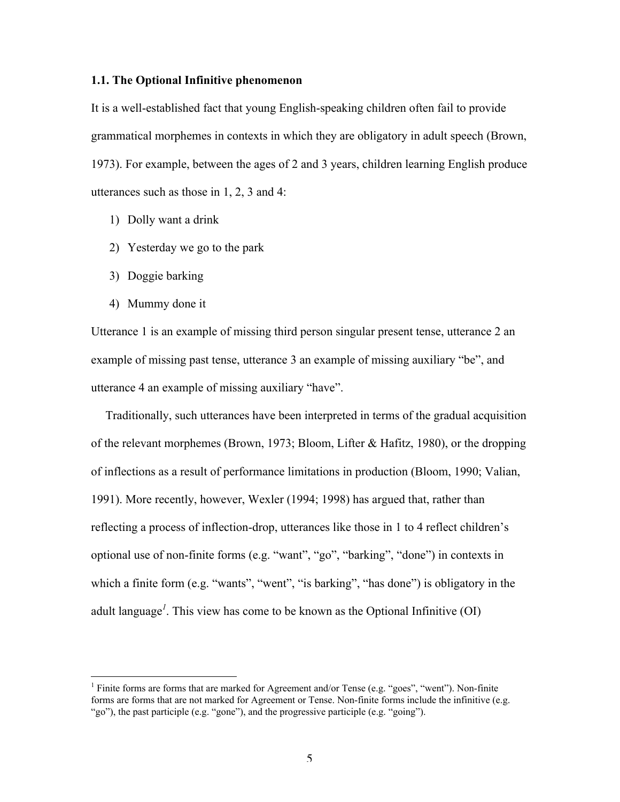### 1.1. The Optional Infinitive phenomenon

It is a well-established fact that young English-speaking children often fail to provide grammatical morphemes in contexts in which they are obligatory in adult speech (Brown, 1973). For example, between the ages of 2 and 3 years, children learning English produce utterances such as those in 1, 2, 3 and 4:

- 1) Dolly want a drink
- 2) Yesterday we go to the park
- 3) Doggie barking
- 4) Mummy done it

Utterance 1 is an example of missing third person singular present tense, utterance 2 an example of missing past tense, utterance 3 an example of missing auxiliary "be", and utterance 4 an example of missing auxiliary "have".

Traditionally, such utterances have been interpreted in terms of the gradual acquisition of the relevant morphemes (Brown, 1973; Bloom, Lifter & Hafitz, 1980), or the dropping of inflections as a result of performance limitations in production (Bloom, 1990; Valian, 1991). More recently, however, Wexler (1994; 1998) has argued that, rather than reflecting a process of inflection-drop, utterances like those in 1 to 4 reflect children's optional use of non-finite forms (e.g. "want", "go", "barking", "done") in contexts in which a finite form (e.g. "wants", "went", "is barking", "has done") is obligatory in the adult language*<sup>1</sup>* . This view has come to be known as the Optional Infinitive (OI)

 $\frac{1}{1}$ <sup>1</sup> Finite forms are forms that are marked for Agreement and/or Tense (e.g. "goes", "went"). Non-finite forms are forms that are not marked for Agreement or Tense. Non-finite forms include the infinitive (e.g. "go"), the past participle (e.g. "gone"), and the progressive participle (e.g. "going").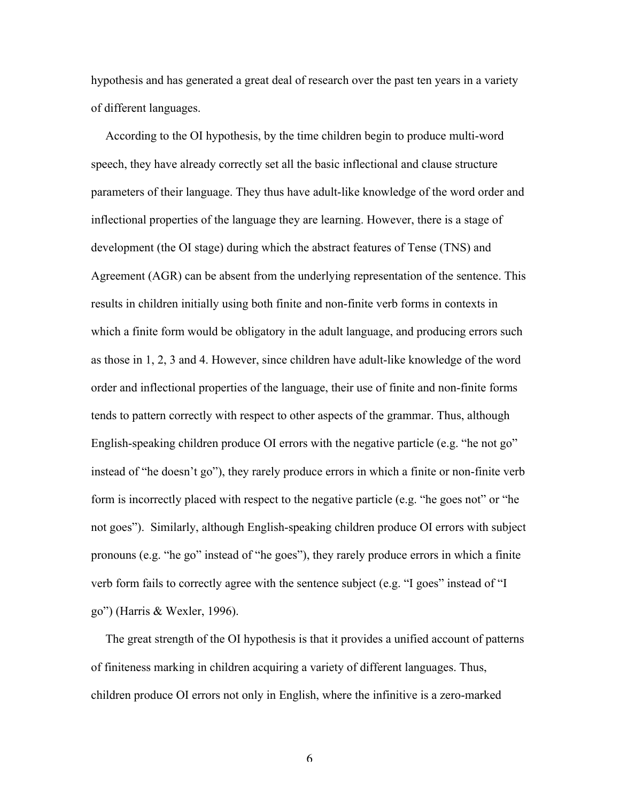hypothesis and has generated a great deal of research over the past ten years in a variety of different languages.

According to the OI hypothesis, by the time children begin to produce multi-word speech, they have already correctly set all the basic inflectional and clause structure parameters of their language. They thus have adult-like knowledge of the word order and inflectional properties of the language they are learning. However, there is a stage of development (the OI stage) during which the abstract features of Tense (TNS) and Agreement (AGR) can be absent from the underlying representation of the sentence. This results in children initially using both finite and non-finite verb forms in contexts in which a finite form would be obligatory in the adult language, and producing errors such as those in 1, 2, 3 and 4. However, since children have adult-like knowledge of the word order and inflectional properties of the language, their use of finite and non-finite forms tends to pattern correctly with respect to other aspects of the grammar. Thus, although English-speaking children produce OI errors with the negative particle (e.g. "he not go" instead of "he doesn't go"), they rarely produce errors in which a finite or non-finite verb form is incorrectly placed with respect to the negative particle (e.g. "he goes not" or "he not goes"). Similarly, although English-speaking children produce OI errors with subject pronouns (e.g. "he go" instead of "he goes"), they rarely produce errors in which a finite verb form fails to correctly agree with the sentence subject (e.g. "I goes" instead of "I go") (Harris & Wexler, 1996).

The great strength of the OI hypothesis is that it provides a unified account of patterns of finiteness marking in children acquiring a variety of different languages. Thus, children produce OI errors not only in English, where the infinitive is a zero-marked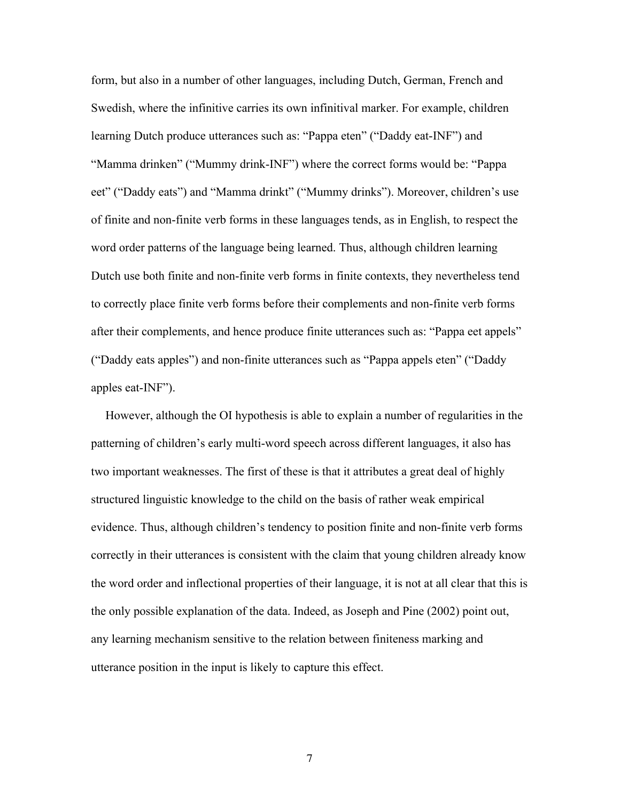form, but also in a number of other languages, including Dutch, German, French and Swedish, where the infinitive carries its own infinitival marker. For example, children learning Dutch produce utterances such as: "Pappa eten" ("Daddy eat-INF") and "Mamma drinken" ("Mummy drink-INF") where the correct forms would be: "Pappa eet" ("Daddy eats") and "Mamma drinkt" ("Mummy drinks"). Moreover, children's use of finite and non-finite verb forms in these languages tends, as in English, to respect the word order patterns of the language being learned. Thus, although children learning Dutch use both finite and non-finite verb forms in finite contexts, they nevertheless tend to correctly place finite verb forms before their complements and non-finite verb forms after their complements, and hence produce finite utterances such as: "Pappa eet appels" ("Daddy eats apples") and non-finite utterances such as "Pappa appels eten" ("Daddy apples eat-INF").

However, although the OI hypothesis is able to explain a number of regularities in the patterning of children's early multi-word speech across different languages, it also has two important weaknesses. The first of these is that it attributes a great deal of highly structured linguistic knowledge to the child on the basis of rather weak empirical evidence. Thus, although children's tendency to position finite and non-finite verb forms correctly in their utterances is consistent with the claim that young children already know the word order and inflectional properties of their language, it is not at all clear that this is the only possible explanation of the data. Indeed, as Joseph and Pine (2002) point out, any learning mechanism sensitive to the relation between finiteness marking and utterance position in the input is likely to capture this effect.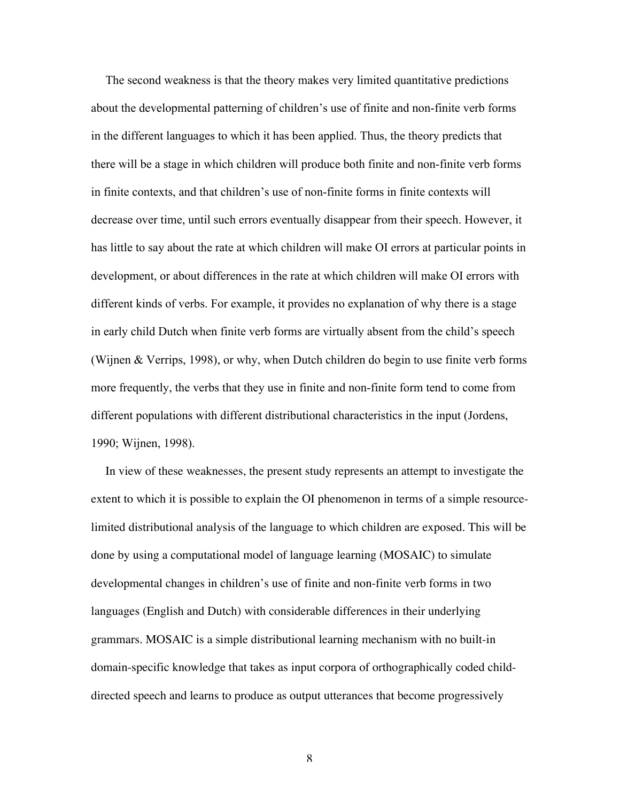The second weakness is that the theory makes very limited quantitative predictions about the developmental patterning of children's use of finite and non-finite verb forms in the different languages to which it has been applied. Thus, the theory predicts that there will be a stage in which children will produce both finite and non-finite verb forms in finite contexts, and that children's use of non-finite forms in finite contexts will decrease over time, until such errors eventually disappear from their speech. However, it has little to say about the rate at which children will make OI errors at particular points in development, or about differences in the rate at which children will make OI errors with different kinds of verbs. For example, it provides no explanation of why there is a stage in early child Dutch when finite verb forms are virtually absent from the child's speech (Wijnen & Verrips, 1998), or why, when Dutch children do begin to use finite verb forms more frequently, the verbs that they use in finite and non-finite form tend to come from different populations with different distributional characteristics in the input (Jordens, 1990; Wijnen, 1998).

In view of these weaknesses, the present study represents an attempt to investigate the extent to which it is possible to explain the OI phenomenon in terms of a simple resourcelimited distributional analysis of the language to which children are exposed. This will be done by using a computational model of language learning (MOSAIC) to simulate developmental changes in children's use of finite and non-finite verb forms in two languages (English and Dutch) with considerable differences in their underlying grammars. MOSAIC is a simple distributional learning mechanism with no built-in domain-specific knowledge that takes as input corpora of orthographically coded childdirected speech and learns to produce as output utterances that become progressively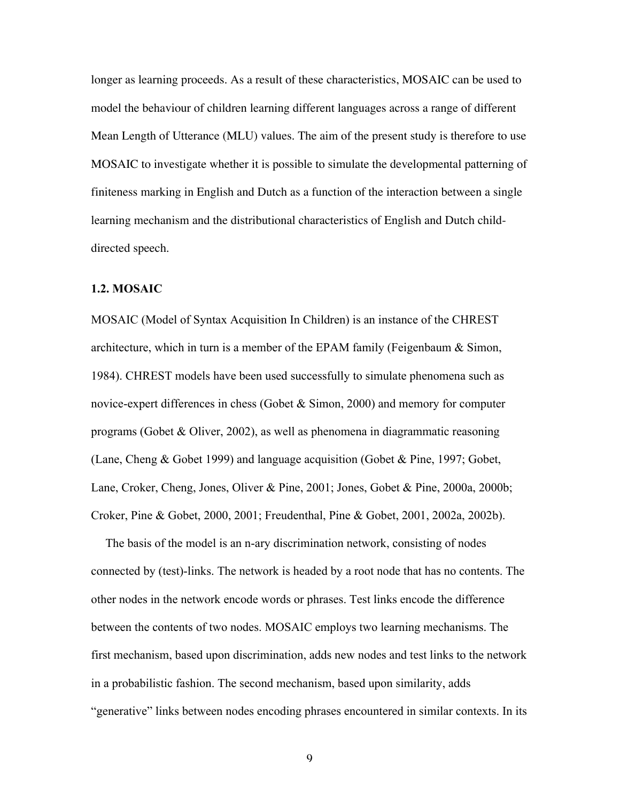longer as learning proceeds. As a result of these characteristics, MOSAIC can be used to model the behaviour of children learning different languages across a range of different Mean Length of Utterance (MLU) values. The aim of the present study is therefore to use MOSAIC to investigate whether it is possible to simulate the developmental patterning of finiteness marking in English and Dutch as a function of the interaction between a single learning mechanism and the distributional characteristics of English and Dutch childdirected speech.

#### 1.2. MOSAIC

MOSAIC (Model of Syntax Acquisition In Children) is an instance of the CHREST architecture, which in turn is a member of the EPAM family (Feigenbaum  $\&$  Simon, 1984). CHREST models have been used successfully to simulate phenomena such as novice-expert differences in chess (Gobet  $\&$  Simon, 2000) and memory for computer programs (Gobet & Oliver, 2002), as well as phenomena in diagrammatic reasoning (Lane, Cheng & Gobet 1999) and language acquisition (Gobet & Pine, 1997; Gobet, Lane, Croker, Cheng, Jones, Oliver & Pine, 2001; Jones, Gobet & Pine, 2000a, 2000b; Croker, Pine & Gobet, 2000, 2001; Freudenthal, Pine & Gobet, 2001, 2002a, 2002b).

The basis of the model is an n-ary discrimination network, consisting of nodes connected by (test)-links. The network is headed by a root node that has no contents. The other nodes in the network encode words or phrases. Test links encode the difference between the contents of two nodes. MOSAIC employs two learning mechanisms. The first mechanism, based upon discrimination, adds new nodes and test links to the network in a probabilistic fashion. The second mechanism, based upon similarity, adds "generative" links between nodes encoding phrases encountered in similar contexts. In its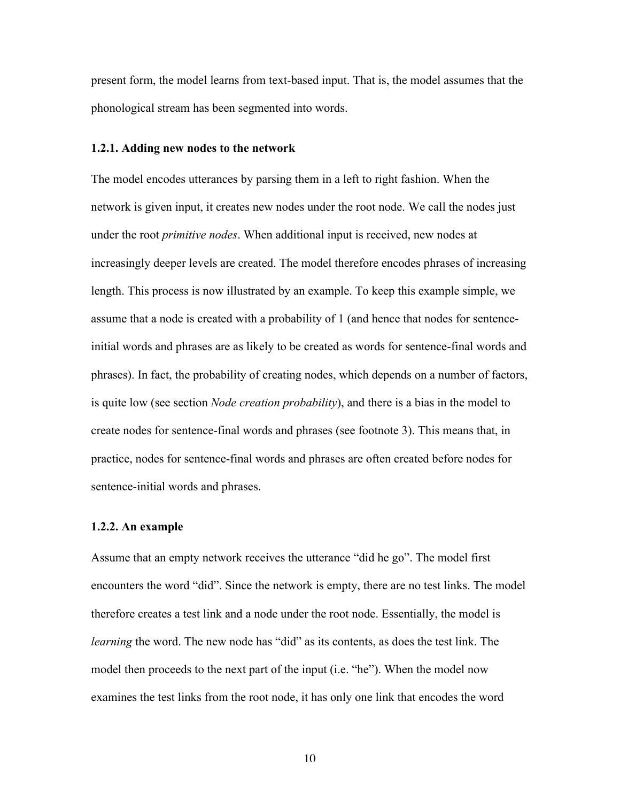present form, the model learns from text-based input. That is, the model assumes that the phonological stream has been segmented into words.

#### 1.2.1. Adding new nodes to the network

The model encodes utterances by parsing them in a left to right fashion. When the network is given input, it creates new nodes under the root node. We call the nodes just under the root *primitive nodes*. When additional input is received, new nodes at increasingly deeper levels are created. The model therefore encodes phrases of increasing length. This process is now illustrated by an example. To keep this example simple, we assume that a node is created with a probability of 1 (and hence that nodes for sentenceinitial words and phrases are as likely to be created as words for sentence-final words and phrases). In fact, the probability of creating nodes, which depends on a number of factors, is quite low (see section *Node creation probability*), and there is a bias in the model to create nodes for sentence-final words and phrases (see footnote 3). This means that, in practice, nodes for sentence-final words and phrases are often created before nodes for sentence-initial words and phrases.

#### 1.2.2. An example

Assume that an empty network receives the utterance "did he go". The model first encounters the word "did". Since the network is empty, there are no test links. The model therefore creates a test link and a node under the root node. Essentially, the model is *learning* the word. The new node has "did" as its contents, as does the test link. The model then proceeds to the next part of the input (i.e. "he"). When the model now examines the test links from the root node, it has only one link that encodes the word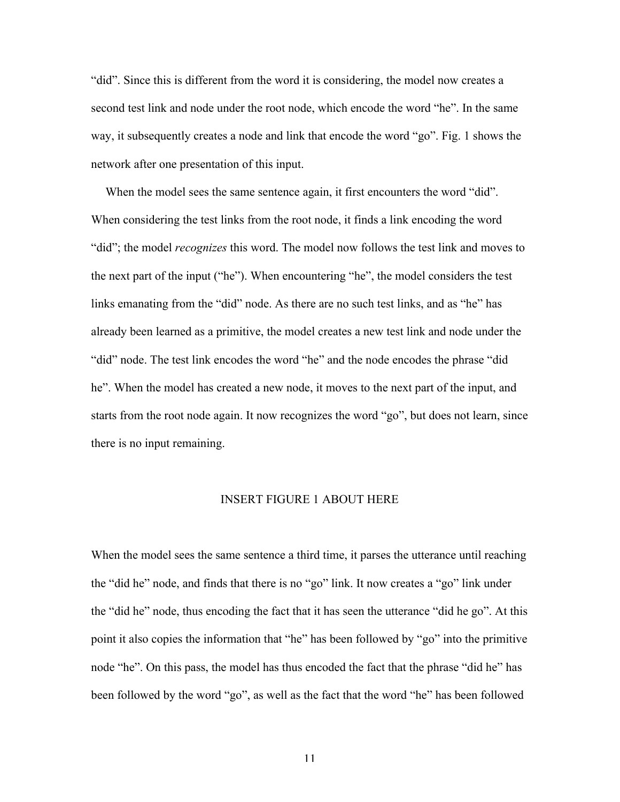"did". Since this is different from the word it is considering, the model now creates a second test link and node under the root node, which encode the word "he". In the same way, it subsequently creates a node and link that encode the word "go". Fig. 1 shows the network after one presentation of this input.

When the model sees the same sentence again, it first encounters the word "did". When considering the test links from the root node, it finds a link encoding the word "did"; the model *recognizes* this word. The model now follows the test link and moves to the next part of the input ("he"). When encountering "he", the model considers the test links emanating from the "did" node. As there are no such test links, and as "he" has already been learned as a primitive, the model creates a new test link and node under the "did" node. The test link encodes the word "he" and the node encodes the phrase "did he". When the model has created a new node, it moves to the next part of the input, and starts from the root node again. It now recognizes the word "go", but does not learn, since there is no input remaining.

#### INSERT FIGURE 1 ABOUT HERE

When the model sees the same sentence a third time, it parses the utterance until reaching the "did he" node, and finds that there is no "go" link. It now creates a "go" link under the "did he" node, thus encoding the fact that it has seen the utterance "did he go". At this point it also copies the information that "he" has been followed by "go" into the primitive node "he". On this pass, the model has thus encoded the fact that the phrase "did he" has been followed by the word "go", as well as the fact that the word "he" has been followed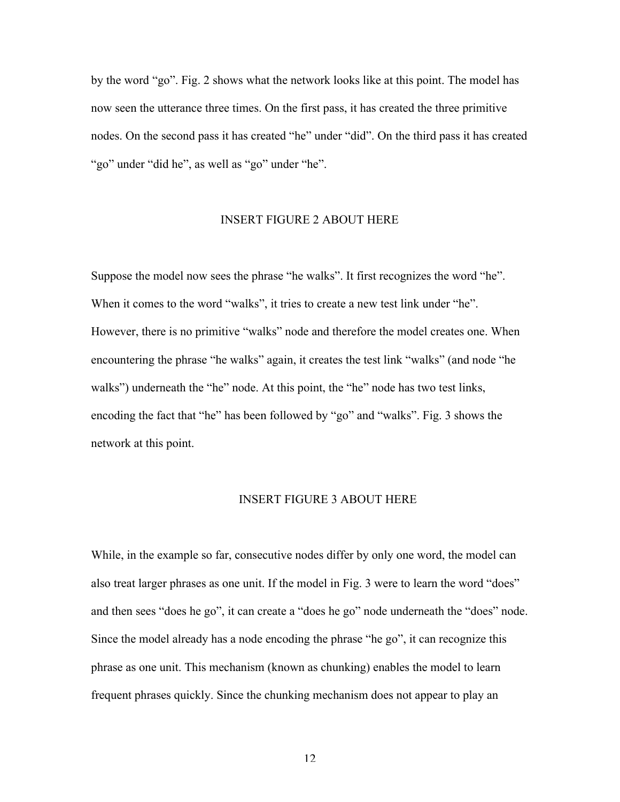by the word "go". Fig. 2 shows what the network looks like at this point. The model has now seen the utterance three times. On the first pass, it has created the three primitive nodes. On the second pass it has created "he" under "did". On the third pass it has created "go" under "did he", as well as "go" under "he".

### INSERT FIGURE 2 ABOUT HERE

Suppose the model now sees the phrase "he walks". It first recognizes the word "he". When it comes to the word "walks", it tries to create a new test link under "he". However, there is no primitive "walks" node and therefore the model creates one. When encountering the phrase "he walks" again, it creates the test link "walks" (and node "he walks") underneath the "he" node. At this point, the "he" node has two test links, encoding the fact that "he" has been followed by "go" and "walks". Fig. 3 shows the network at this point.

### INSERT FIGURE 3 ABOUT HERE

While, in the example so far, consecutive nodes differ by only one word, the model can also treat larger phrases as one unit. If the model in Fig. 3 were to learn the word "does" and then sees "does he go", it can create a "does he go" node underneath the "does" node. Since the model already has a node encoding the phrase "he go", it can recognize this phrase as one unit. This mechanism (known as chunking) enables the model to learn frequent phrases quickly. Since the chunking mechanism does not appear to play an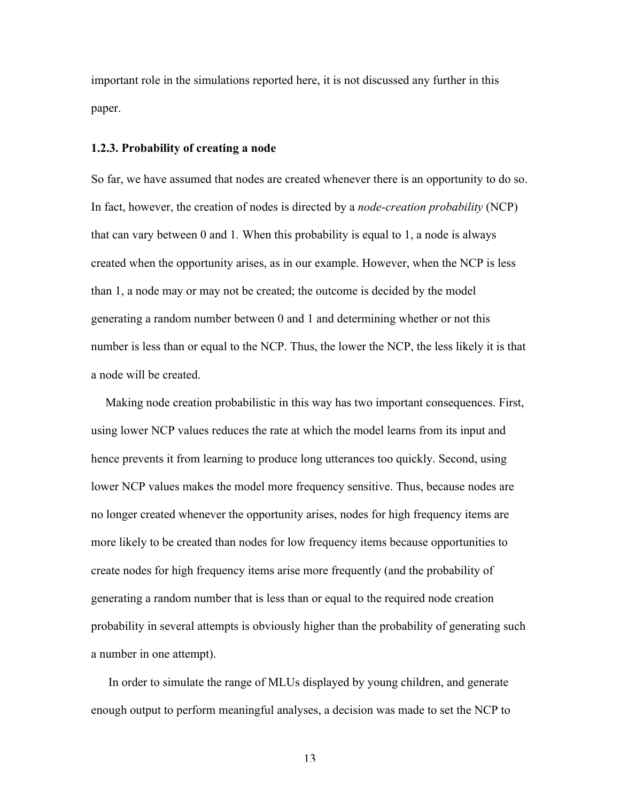important role in the simulations reported here, it is not discussed any further in this paper.

#### 1.2.3. Probability of creating a node

So far, we have assumed that nodes are created whenever there is an opportunity to do so. In fact, however, the creation of nodes is directed by a *node-creation probability* (NCP) that can vary between 0 and 1*.* When this probability is equal to 1, a node is always created when the opportunity arises, as in our example. However, when the NCP is less than 1, a node may or may not be created; the outcome is decided by the model generating a random number between 0 and 1 and determining whether or not this number is less than or equal to the NCP. Thus, the lower the NCP, the less likely it is that a node will be created.

Making node creation probabilistic in this way has two important consequences. First, using lower NCP values reduces the rate at which the model learns from its input and hence prevents it from learning to produce long utterances too quickly. Second, using lower NCP values makes the model more frequency sensitive. Thus, because nodes are no longer created whenever the opportunity arises, nodes for high frequency items are more likely to be created than nodes for low frequency items because opportunities to create nodes for high frequency items arise more frequently (and the probability of generating a random number that is less than or equal to the required node creation probability in several attempts is obviously higher than the probability of generating such a number in one attempt).

 In order to simulate the range of MLUs displayed by young children, and generate enough output to perform meaningful analyses, a decision was made to set the NCP to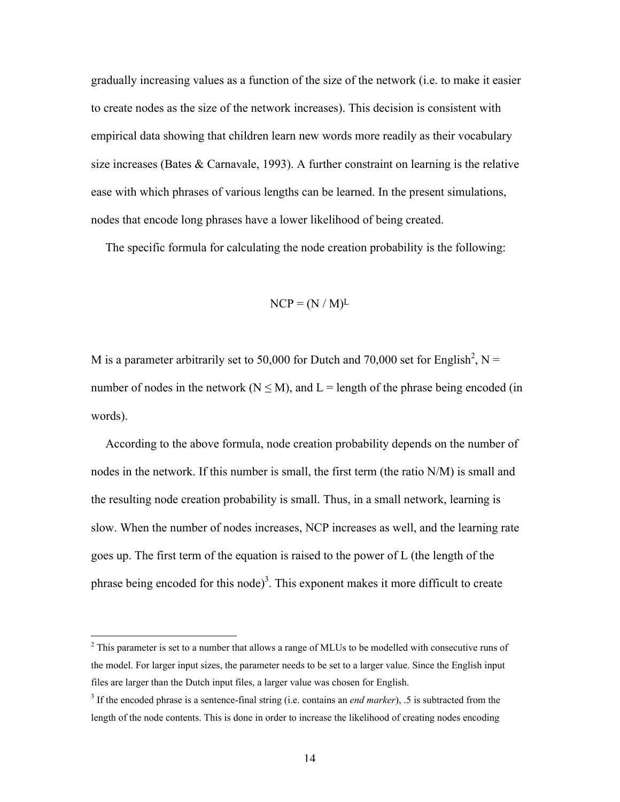gradually increasing values as a function of the size of the network (i.e. to make it easier to create nodes as the size of the network increases). This decision is consistent with empirical data showing that children learn new words more readily as their vocabulary size increases (Bates & Carnavale, 1993). A further constraint on learning is the relative ease with which phrases of various lengths can be learned. In the present simulations, nodes that encode long phrases have a lower likelihood of being created.

The specific formula for calculating the node creation probability is the following:

$$
NCP = (N / M)^L
$$

M is a parameter arbitrarily set to 50,000 for Dutch and 70,000 set for English<sup>2</sup>, N = number of nodes in the network ( $N \le M$ ), and  $L =$  length of the phrase being encoded (in words).

According to the above formula, node creation probability depends on the number of nodes in the network. If this number is small, the first term (the ratio N/M) is small and the resulting node creation probability is small. Thus, in a small network, learning is slow. When the number of nodes increases, NCP increases as well, and the learning rate goes up. The first term of the equation is raised to the power of L (the length of the phrase being encoded for this node)<sup>3</sup>. This exponent makes it more difficult to create

 $\frac{1}{2}$ <sup>2</sup> This parameter is set to a number that allows a range of MLUs to be modelled with consecutive runs of the model. For larger input sizes, the parameter needs to be set to a larger value. Since the English input files are larger than the Dutch input files, a larger value was chosen for English.

<sup>&</sup>lt;sup>3</sup> If the encoded phrase is a sentence-final string (i.e. contains an *end marker*), .5 is subtracted from the length of the node contents. This is done in order to increase the likelihood of creating nodes encoding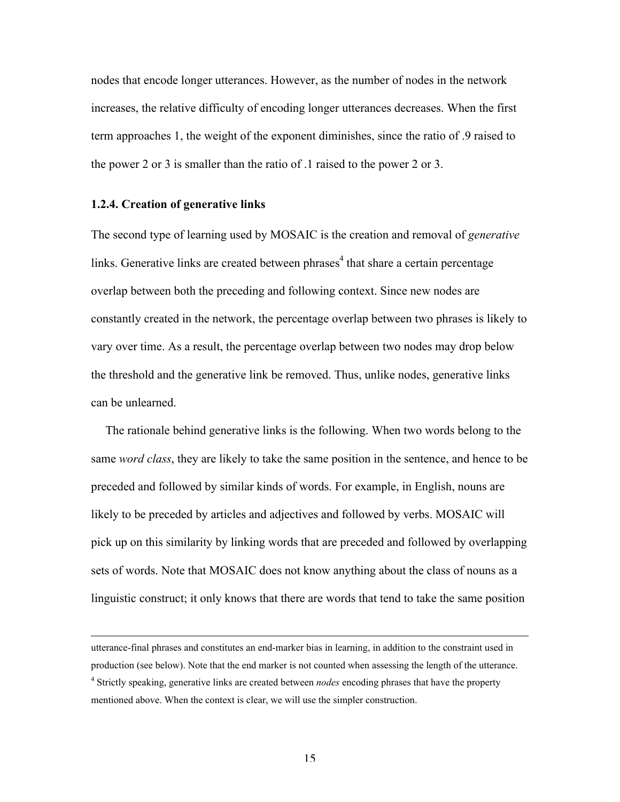nodes that encode longer utterances. However, as the number of nodes in the network increases, the relative difficulty of encoding longer utterances decreases. When the first term approaches 1, the weight of the exponent diminishes, since the ratio of .9 raised to the power 2 or 3 is smaller than the ratio of .1 raised to the power 2 or 3.

#### 1.2.4. Creation of generative links

 $\overline{a}$ 

The second type of learning used by MOSAIC is the creation and removal of *generative* links. Generative links are created between phrases<sup>4</sup> that share a certain percentage overlap between both the preceding and following context. Since new nodes are constantly created in the network, the percentage overlap between two phrases is likely to vary over time. As a result, the percentage overlap between two nodes may drop below the threshold and the generative link be removed. Thus, unlike nodes, generative links can be unlearned.

The rationale behind generative links is the following. When two words belong to the same *word class*, they are likely to take the same position in the sentence, and hence to be preceded and followed by similar kinds of words. For example, in English, nouns are likely to be preceded by articles and adjectives and followed by verbs. MOSAIC will pick up on this similarity by linking words that are preceded and followed by overlapping sets of words. Note that MOSAIC does not know anything about the class of nouns as a linguistic construct; it only knows that there are words that tend to take the same position

utterance-final phrases and constitutes an end-marker bias in learning, in addition to the constraint used in production (see below). Note that the end marker is not counted when assessing the length of the utterance. 4 Strictly speaking, generative links are created between *nodes* encoding phrases that have the property mentioned above. When the context is clear, we will use the simpler construction.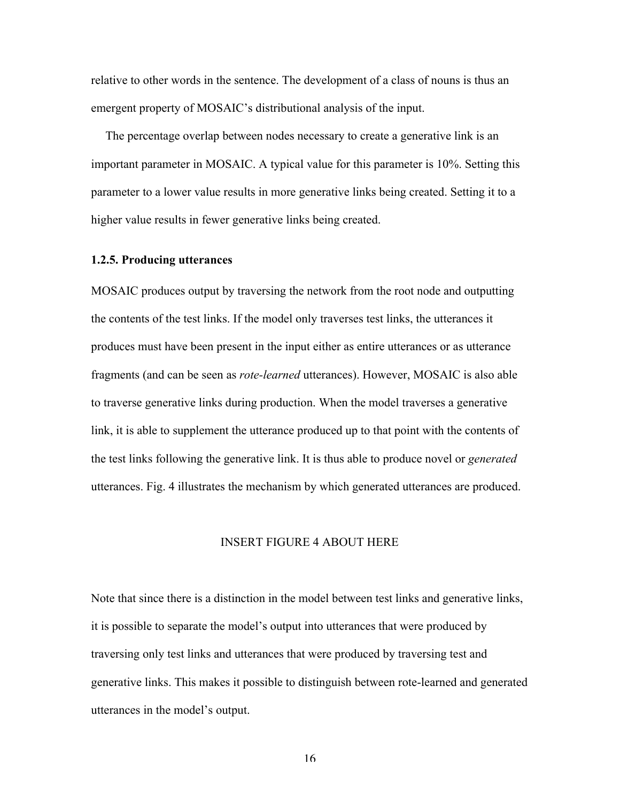relative to other words in the sentence. The development of a class of nouns is thus an emergent property of MOSAIC's distributional analysis of the input.

The percentage overlap between nodes necessary to create a generative link is an important parameter in MOSAIC. A typical value for this parameter is 10%. Setting this parameter to a lower value results in more generative links being created. Setting it to a higher value results in fewer generative links being created.

#### 1.2.5. Producing utterances

MOSAIC produces output by traversing the network from the root node and outputting the contents of the test links. If the model only traverses test links, the utterances it produces must have been present in the input either as entire utterances or as utterance fragments (and can be seen as *rote-learned* utterances). However, MOSAIC is also able to traverse generative links during production. When the model traverses a generative link, it is able to supplement the utterance produced up to that point with the contents of the test links following the generative link. It is thus able to produce novel or *generated* utterances. Fig. 4 illustrates the mechanism by which generated utterances are produced.

# INSERT FIGURE 4 ABOUT HERE

Note that since there is a distinction in the model between test links and generative links, it is possible to separate the model's output into utterances that were produced by traversing only test links and utterances that were produced by traversing test and generative links. This makes it possible to distinguish between rote-learned and generated utterances in the model's output.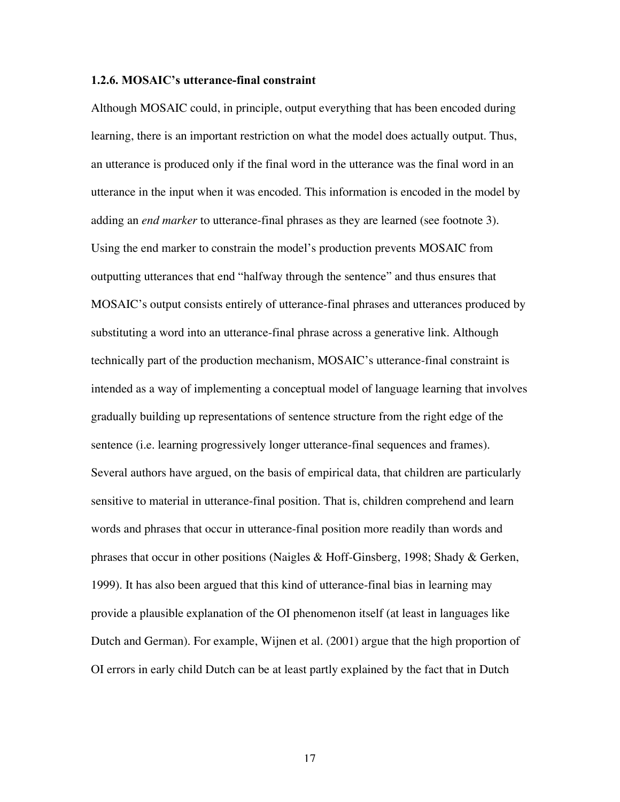### 1.2.6. MOSAIC's utterance-final constraint

Although MOSAIC could, in principle, output everything that has been encoded during learning, there is an important restriction on what the model does actually output. Thus, an utterance is produced only if the final word in the utterance was the final word in an utterance in the input when it was encoded. This information is encoded in the model by adding an *end marker* to utterance-final phrases as they are learned (see footnote 3). Using the end marker to constrain the model's production prevents MOSAIC from outputting utterances that end "halfway through the sentence" and thus ensures that MOSAIC's output consists entirely of utterance-final phrases and utterances produced by substituting a word into an utterance-final phrase across a generative link. Although technically part of the production mechanism, MOSAIC's utterance-final constraint is intended as a way of implementing a conceptual model of language learning that involves gradually building up representations of sentence structure from the right edge of the sentence (i.e. learning progressively longer utterance-final sequences and frames). Several authors have argued, on the basis of empirical data, that children are particularly sensitive to material in utterance-final position. That is, children comprehend and learn words and phrases that occur in utterance-final position more readily than words and phrases that occur in other positions (Naigles & Hoff-Ginsberg, 1998; Shady & Gerken, 1999). It has also been argued that this kind of utterance-final bias in learning may provide a plausible explanation of the OI phenomenon itself (at least in languages like Dutch and German). For example, Wijnen et al. (2001) argue that the high proportion of OI errors in early child Dutch can be at least partly explained by the fact that in Dutch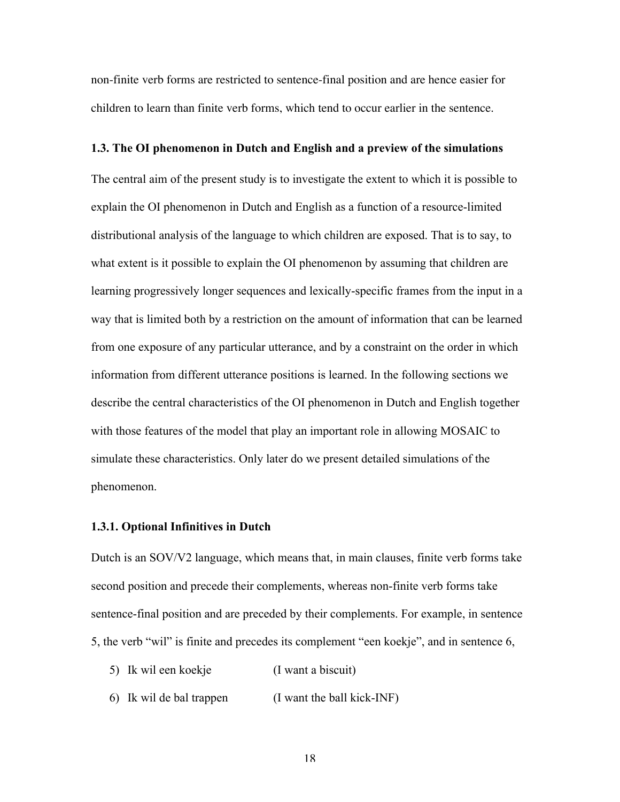non-finite verb forms are restricted to sentence-final position and are hence easier for children to learn than finite verb forms, which tend to occur earlier in the sentence.

#### 1.3. The OI phenomenon in Dutch and English and a preview of the simulations

The central aim of the present study is to investigate the extent to which it is possible to explain the OI phenomenon in Dutch and English as a function of a resource-limited distributional analysis of the language to which children are exposed. That is to say, to what extent is it possible to explain the OI phenomenon by assuming that children are learning progressively longer sequences and lexically-specific frames from the input in a way that is limited both by a restriction on the amount of information that can be learned from one exposure of any particular utterance, and by a constraint on the order in which information from different utterance positions is learned. In the following sections we describe the central characteristics of the OI phenomenon in Dutch and English together with those features of the model that play an important role in allowing MOSAIC to simulate these characteristics. Only later do we present detailed simulations of the phenomenon.

#### 1.3.1. Optional Infinitives in Dutch

Dutch is an SOV/V2 language, which means that, in main clauses, finite verb forms take second position and precede their complements, whereas non-finite verb forms take sentence-final position and are preceded by their complements. For example, in sentence 5, the verb "wil" is finite and precedes its complement "een koekje", and in sentence 6,

- 5) Ik wil een koekje (I want a biscuit)
- 6) Ik wil de bal trappen (I want the ball kick-INF)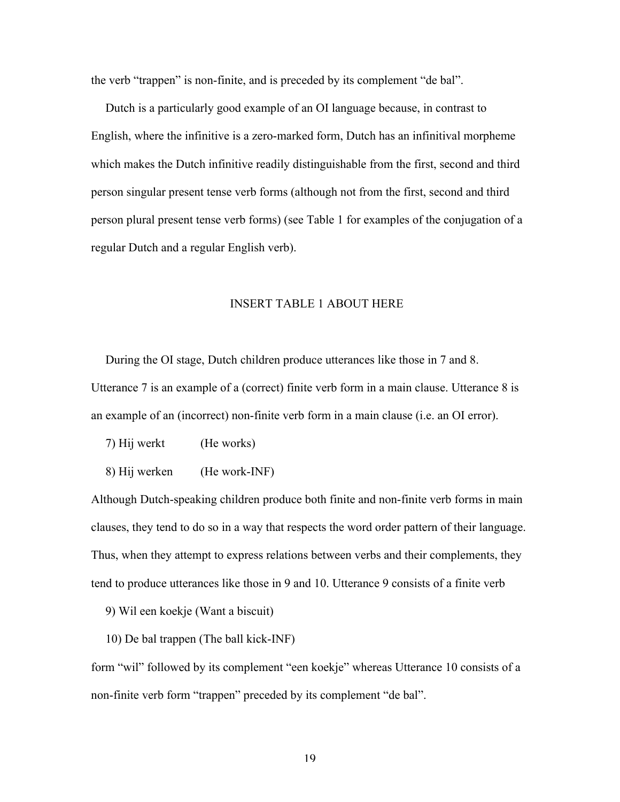the verb "trappen" is non-finite, and is preceded by its complement "de bal".

Dutch is a particularly good example of an OI language because, in contrast to English, where the infinitive is a zero-marked form, Dutch has an infinitival morpheme which makes the Dutch infinitive readily distinguishable from the first, second and third person singular present tense verb forms (although not from the first, second and third person plural present tense verb forms) (see Table 1 for examples of the conjugation of a regular Dutch and a regular English verb).

# INSERT TABLE 1 ABOUT HERE

During the OI stage, Dutch children produce utterances like those in 7 and 8. Utterance 7 is an example of a (correct) finite verb form in a main clause. Utterance 8 is an example of an (incorrect) non-finite verb form in a main clause (i.e. an OI error).

7) Hij werkt (He works)

8) Hij werken (He work-INF)

Although Dutch-speaking children produce both finite and non-finite verb forms in main clauses, they tend to do so in a way that respects the word order pattern of their language. Thus, when they attempt to express relations between verbs and their complements, they tend to produce utterances like those in 9 and 10. Utterance 9 consists of a finite verb

9) Wil een koekje (Want a biscuit)

10) De bal trappen (The ball kick-INF)

form "wil" followed by its complement "een koekje" whereas Utterance 10 consists of a non-finite verb form "trappen" preceded by its complement "de bal".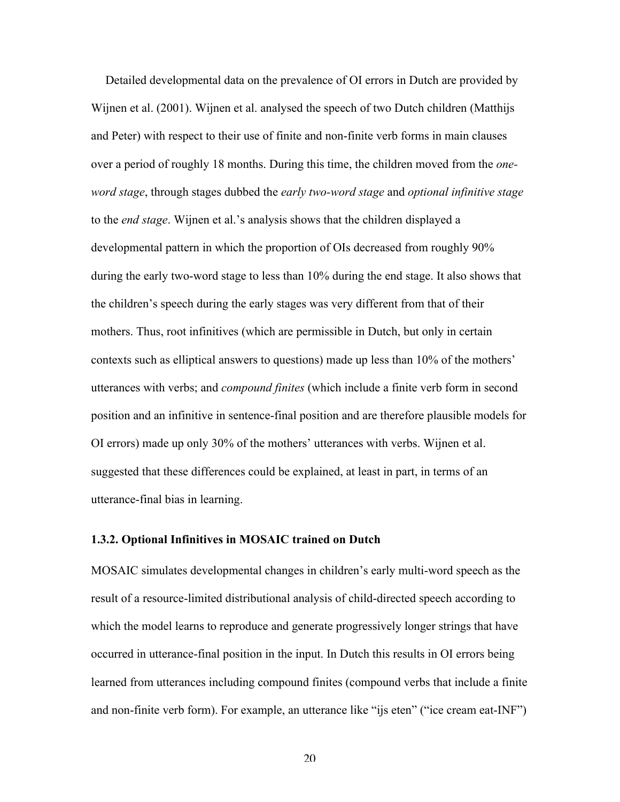Detailed developmental data on the prevalence of OI errors in Dutch are provided by Wijnen et al. (2001). Wijnen et al. analysed the speech of two Dutch children (Matthijs and Peter) with respect to their use of finite and non-finite verb forms in main clauses over a period of roughly 18 months. During this time, the children moved from the *oneword stage*, through stages dubbed the *early two-word stage* and *optional infinitive stage* to the *end stage*. Wijnen et al.'s analysis shows that the children displayed a developmental pattern in which the proportion of OIs decreased from roughly 90% during the early two-word stage to less than 10% during the end stage. It also shows that the children's speech during the early stages was very different from that of their mothers. Thus, root infinitives (which are permissible in Dutch, but only in certain contexts such as elliptical answers to questions) made up less than 10% of the mothers' utterances with verbs; and *compound finites* (which include a finite verb form in second position and an infinitive in sentence-final position and are therefore plausible models for OI errors) made up only 30% of the mothers' utterances with verbs. Wijnen et al. suggested that these differences could be explained, at least in part, in terms of an utterance-final bias in learning.

### 1.3.2. Optional Infinitives in MOSAIC trained on Dutch

MOSAIC simulates developmental changes in children's early multi-word speech as the result of a resource-limited distributional analysis of child-directed speech according to which the model learns to reproduce and generate progressively longer strings that have occurred in utterance-final position in the input. In Dutch this results in OI errors being learned from utterances including compound finites (compound verbs that include a finite and non-finite verb form). For example, an utterance like "ijs eten" ("ice cream eat-INF")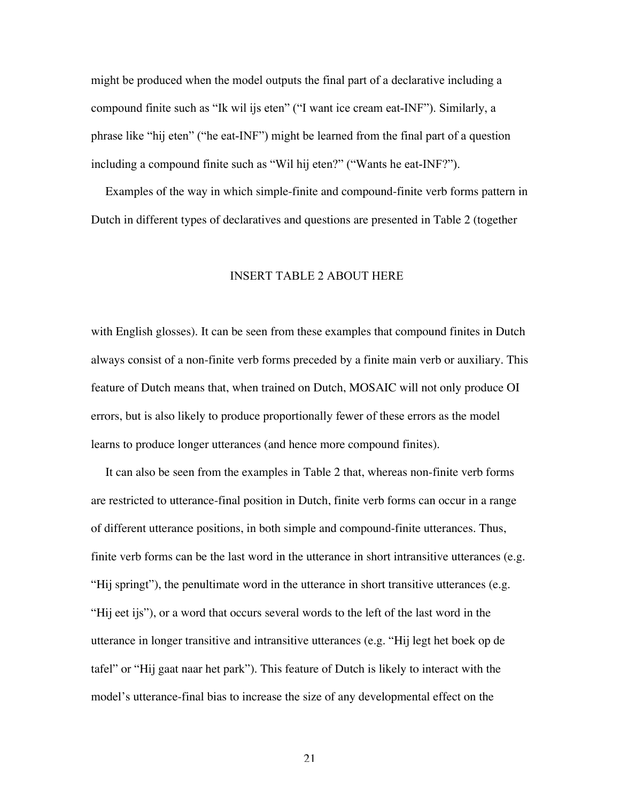might be produced when the model outputs the final part of a declarative including a compound finite such as "Ik wil ijs eten" ("I want ice cream eat-INF"). Similarly, a phrase like "hij eten" ("he eat-INF") might be learned from the final part of a question including a compound finite such as "Wil hij eten?" ("Wants he eat-INF?").

Examples of the way in which simple-finite and compound-finite verb forms pattern in Dutch in different types of declaratives and questions are presented in Table 2 (together

### INSERT TABLE 2 ABOUT HERE

with English glosses). It can be seen from these examples that compound finites in Dutch always consist of a non-finite verb forms preceded by a finite main verb or auxiliary. This feature of Dutch means that, when trained on Dutch, MOSAIC will not only produce OI errors, but is also likely to produce proportionally fewer of these errors as the model learns to produce longer utterances (and hence more compound finites).

It can also be seen from the examples in Table 2 that, whereas non-finite verb forms are restricted to utterance-final position in Dutch, finite verb forms can occur in a range of different utterance positions, in both simple and compound-finite utterances. Thus, finite verb forms can be the last word in the utterance in short intransitive utterances (e.g. "Hij springt"), the penultimate word in the utterance in short transitive utterances (e.g. "Hij eet ijs"), or a word that occurs several words to the left of the last word in the utterance in longer transitive and intransitive utterances (e.g. "Hij legt het boek op de tafel" or "Hij gaat naar het park"). This feature of Dutch is likely to interact with the model's utterance-final bias to increase the size of any developmental effect on the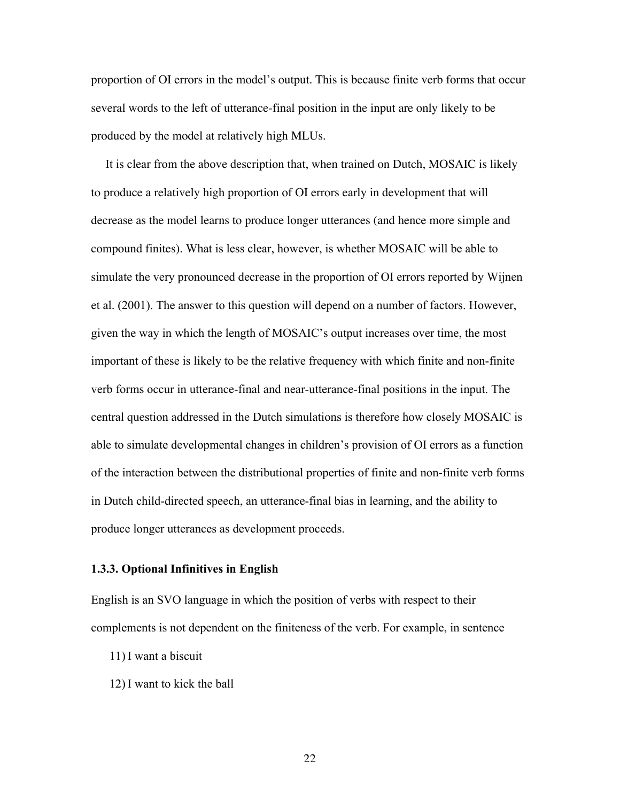proportion of OI errors in the model's output. This is because finite verb forms that occur several words to the left of utterance-final position in the input are only likely to be produced by the model at relatively high MLUs.

It is clear from the above description that, when trained on Dutch, MOSAIC is likely to produce a relatively high proportion of OI errors early in development that will decrease as the model learns to produce longer utterances (and hence more simple and compound finites). What is less clear, however, is whether MOSAIC will be able to simulate the very pronounced decrease in the proportion of OI errors reported by Wijnen et al. (2001). The answer to this question will depend on a number of factors. However, given the way in which the length of MOSAIC's output increases over time, the most important of these is likely to be the relative frequency with which finite and non-finite verb forms occur in utterance-final and near-utterance-final positions in the input. The central question addressed in the Dutch simulations is therefore how closely MOSAIC is able to simulate developmental changes in children's provision of OI errors as a function of the interaction between the distributional properties of finite and non-finite verb forms in Dutch child-directed speech, an utterance-final bias in learning, and the ability to produce longer utterances as development proceeds.

### 1.3.3. Optional Infinitives in English

English is an SVO language in which the position of verbs with respect to their complements is not dependent on the finiteness of the verb. For example, in sentence

- 11) I want a biscuit
- 12) I want to kick the ball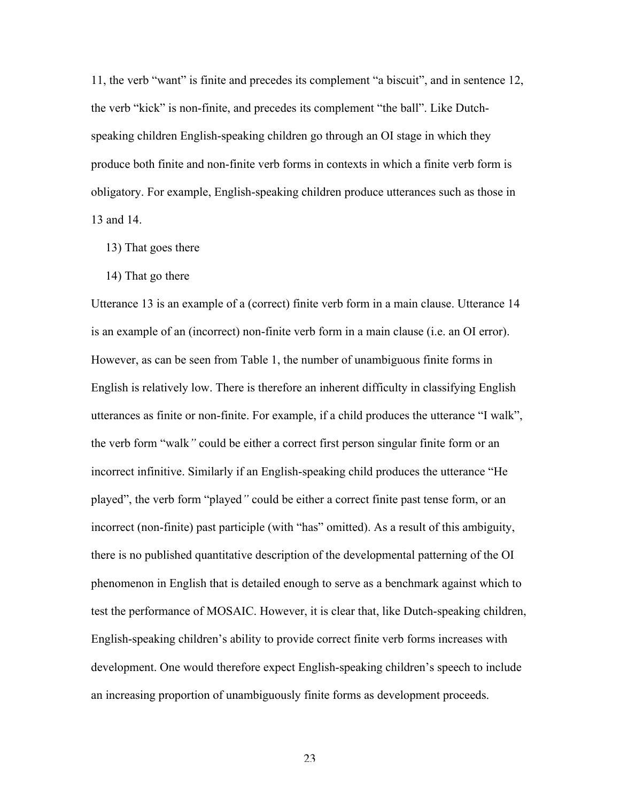11, the verb "want" is finite and precedes its complement "a biscuit", and in sentence 12, the verb "kick" is non-finite, and precedes its complement "the ball". Like Dutchspeaking children English-speaking children go through an OI stage in which they produce both finite and non-finite verb forms in contexts in which a finite verb form is obligatory. For example, English-speaking children produce utterances such as those in 13 and 14.

- 13) That goes there
- 14) That go there

Utterance 13 is an example of a (correct) finite verb form in a main clause. Utterance 14 is an example of an (incorrect) non-finite verb form in a main clause (i.e. an OI error). However, as can be seen from Table 1, the number of unambiguous finite forms in English is relatively low. There is therefore an inherent difficulty in classifying English utterances as finite or non-finite. For example, if a child produces the utterance "I walk", the verb form "walk*"* could be either a correct first person singular finite form or an incorrect infinitive. Similarly if an English-speaking child produces the utterance "He played", the verb form "played*"* could be either a correct finite past tense form, or an incorrect (non-finite) past participle (with "has" omitted). As a result of this ambiguity, there is no published quantitative description of the developmental patterning of the OI phenomenon in English that is detailed enough to serve as a benchmark against which to test the performance of MOSAIC. However, it is clear that, like Dutch-speaking children, English-speaking children's ability to provide correct finite verb forms increases with development. One would therefore expect English-speaking children's speech to include an increasing proportion of unambiguously finite forms as development proceeds.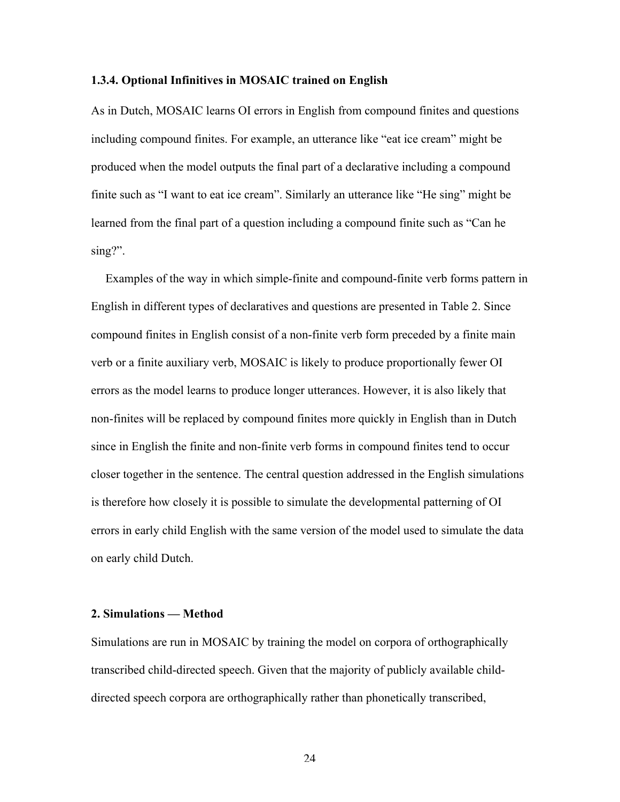#### 1.3.4. Optional Infinitives in MOSAIC trained on English

As in Dutch, MOSAIC learns OI errors in English from compound finites and questions including compound finites. For example, an utterance like "eat ice cream" might be produced when the model outputs the final part of a declarative including a compound finite such as "I want to eat ice cream". Similarly an utterance like "He sing" might be learned from the final part of a question including a compound finite such as "Can he sing?".

Examples of the way in which simple-finite and compound-finite verb forms pattern in English in different types of declaratives and questions are presented in Table 2. Since compound finites in English consist of a non-finite verb form preceded by a finite main verb or a finite auxiliary verb, MOSAIC is likely to produce proportionally fewer OI errors as the model learns to produce longer utterances. However, it is also likely that non-finites will be replaced by compound finites more quickly in English than in Dutch since in English the finite and non-finite verb forms in compound finites tend to occur closer together in the sentence. The central question addressed in the English simulations is therefore how closely it is possible to simulate the developmental patterning of OI errors in early child English with the same version of the model used to simulate the data on early child Dutch.

# 2. Simulations — Method

Simulations are run in MOSAIC by training the model on corpora of orthographically transcribed child-directed speech. Given that the majority of publicly available childdirected speech corpora are orthographically rather than phonetically transcribed,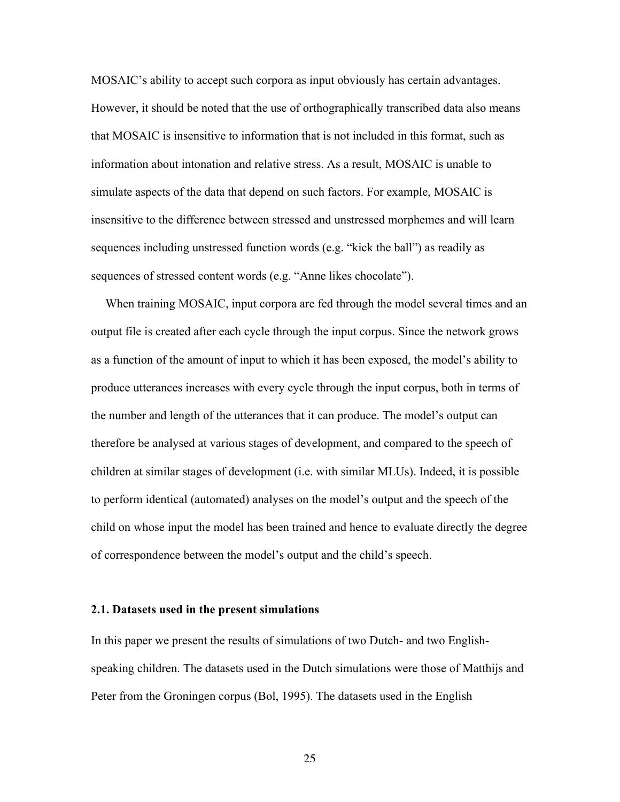MOSAIC's ability to accept such corpora as input obviously has certain advantages. However, it should be noted that the use of orthographically transcribed data also means that MOSAIC is insensitive to information that is not included in this format, such as information about intonation and relative stress. As a result, MOSAIC is unable to simulate aspects of the data that depend on such factors. For example, MOSAIC is insensitive to the difference between stressed and unstressed morphemes and will learn sequences including unstressed function words (e.g. "kick the ball") as readily as sequences of stressed content words (e.g. "Anne likes chocolate").

When training MOSAIC, input corpora are fed through the model several times and an output file is created after each cycle through the input corpus. Since the network grows as a function of the amount of input to which it has been exposed, the model's ability to produce utterances increases with every cycle through the input corpus, both in terms of the number and length of the utterances that it can produce. The model's output can therefore be analysed at various stages of development, and compared to the speech of children at similar stages of development (i.e. with similar MLUs). Indeed, it is possible to perform identical (automated) analyses on the model's output and the speech of the child on whose input the model has been trained and hence to evaluate directly the degree of correspondence between the model's output and the child's speech.

### 2.1. Datasets used in the present simulations

In this paper we present the results of simulations of two Dutch- and two Englishspeaking children. The datasets used in the Dutch simulations were those of Matthijs and Peter from the Groningen corpus (Bol, 1995). The datasets used in the English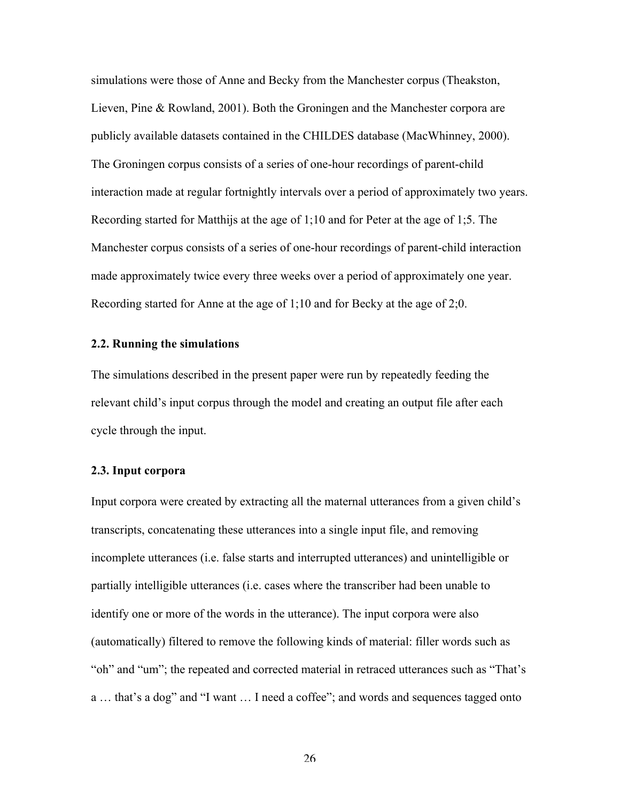simulations were those of Anne and Becky from the Manchester corpus (Theakston, Lieven, Pine & Rowland, 2001). Both the Groningen and the Manchester corpora are publicly available datasets contained in the CHILDES database (MacWhinney, 2000). The Groningen corpus consists of a series of one-hour recordings of parent-child interaction made at regular fortnightly intervals over a period of approximately two years. Recording started for Matthijs at the age of 1;10 and for Peter at the age of 1;5. The Manchester corpus consists of a series of one-hour recordings of parent-child interaction made approximately twice every three weeks over a period of approximately one year. Recording started for Anne at the age of 1;10 and for Becky at the age of 2;0.

### 2.2. Running the simulations

The simulations described in the present paper were run by repeatedly feeding the relevant child's input corpus through the model and creating an output file after each cycle through the input.

#### 2.3. Input corpora

Input corpora were created by extracting all the maternal utterances from a given child's transcripts, concatenating these utterances into a single input file, and removing incomplete utterances (i.e. false starts and interrupted utterances) and unintelligible or partially intelligible utterances (i.e. cases where the transcriber had been unable to identify one or more of the words in the utterance). The input corpora were also (automatically) filtered to remove the following kinds of material: filler words such as "oh" and "um"; the repeated and corrected material in retraced utterances such as "That's a … that's a dog" and "I want … I need a coffee"; and words and sequences tagged onto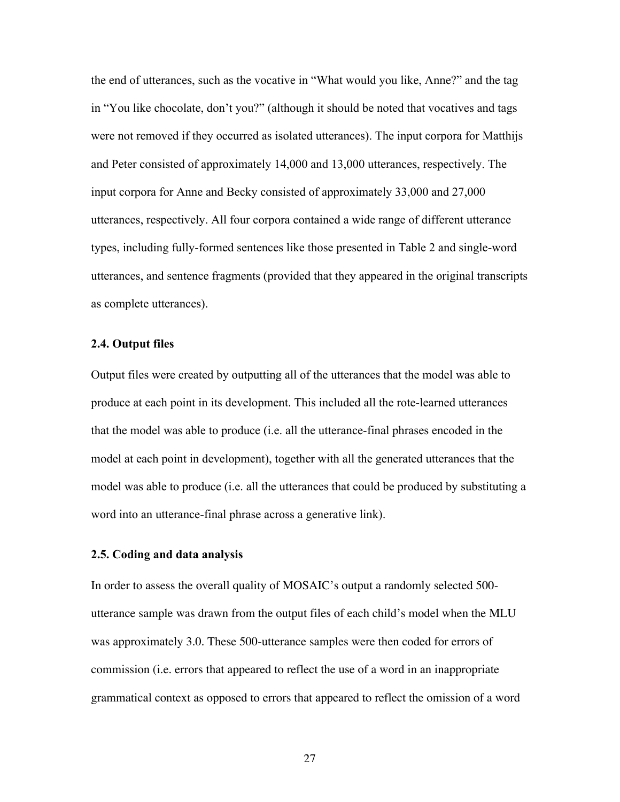the end of utterances, such as the vocative in "What would you like, Anne?" and the tag in "You like chocolate, don't you?" (although it should be noted that vocatives and tags were not removed if they occurred as isolated utterances). The input corpora for Matthijs and Peter consisted of approximately 14,000 and 13,000 utterances, respectively. The input corpora for Anne and Becky consisted of approximately 33,000 and 27,000 utterances, respectively. All four corpora contained a wide range of different utterance types, including fully-formed sentences like those presented in Table 2 and single-word utterances, and sentence fragments (provided that they appeared in the original transcripts as complete utterances).

### 2.4. Output files

Output files were created by outputting all of the utterances that the model was able to produce at each point in its development. This included all the rote-learned utterances that the model was able to produce (i.e. all the utterance-final phrases encoded in the model at each point in development), together with all the generated utterances that the model was able to produce (i.e. all the utterances that could be produced by substituting a word into an utterance-final phrase across a generative link).

# 2.5. Coding and data analysis

In order to assess the overall quality of MOSAIC's output a randomly selected 500 utterance sample was drawn from the output files of each child's model when the MLU was approximately 3.0. These 500-utterance samples were then coded for errors of commission (i.e. errors that appeared to reflect the use of a word in an inappropriate grammatical context as opposed to errors that appeared to reflect the omission of a word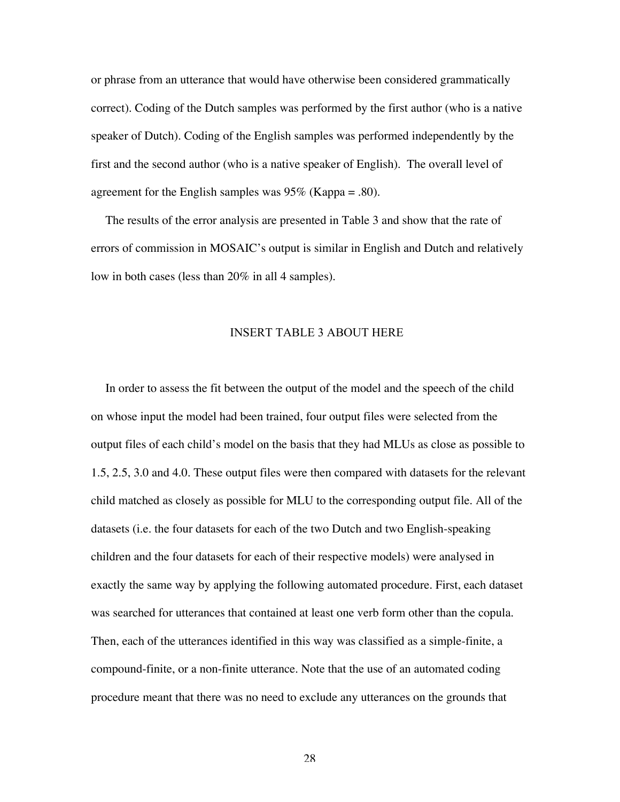or phrase from an utterance that would have otherwise been considered grammatically correct). Coding of the Dutch samples was performed by the first author (who is a native speaker of Dutch). Coding of the English samples was performed independently by the first and the second author (who is a native speaker of English). The overall level of agreement for the English samples was  $95\%$  (Kappa = .80).

The results of the error analysis are presented in Table 3 and show that the rate of errors of commission in MOSAIC's output is similar in English and Dutch and relatively low in both cases (less than 20% in all 4 samples).

#### INSERT TABLE 3 ABOUT HERE

In order to assess the fit between the output of the model and the speech of the child on whose input the model had been trained, four output files were selected from the output files of each child's model on the basis that they had MLUs as close as possible to 1.5, 2.5, 3.0 and 4.0. These output files were then compared with datasets for the relevant child matched as closely as possible for MLU to the corresponding output file. All of the datasets (i.e. the four datasets for each of the two Dutch and two English-speaking children and the four datasets for each of their respective models) were analysed in exactly the same way by applying the following automated procedure. First, each dataset was searched for utterances that contained at least one verb form other than the copula. Then, each of the utterances identified in this way was classified as a simple-finite, a compound-finite, or a non-finite utterance. Note that the use of an automated coding procedure meant that there was no need to exclude any utterances on the grounds that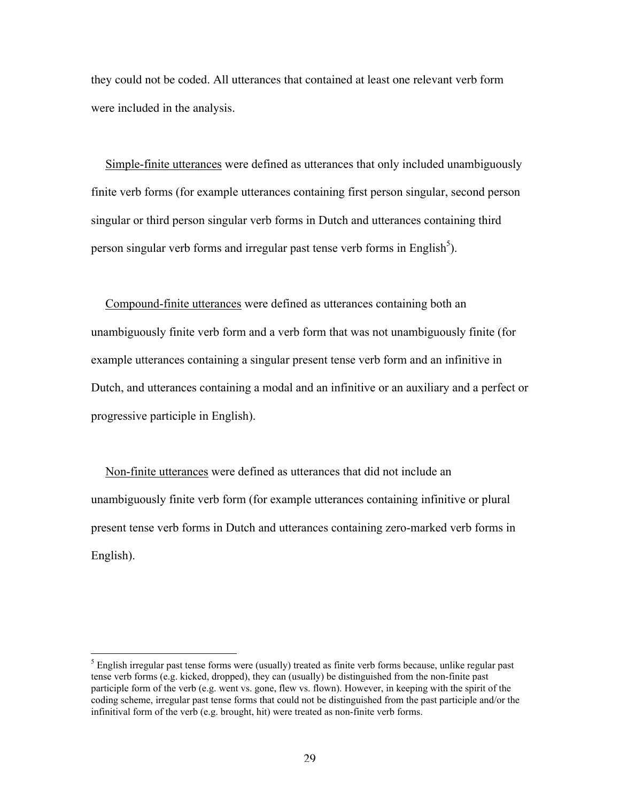they could not be coded. All utterances that contained at least one relevant verb form were included in the analysis.

Simple-finite utterances were defined as utterances that only included unambiguously finite verb forms (for example utterances containing first person singular, second person singular or third person singular verb forms in Dutch and utterances containing third person singular verb forms and irregular past tense verb forms in English<sup>5</sup>).

Compound-finite utterances were defined as utterances containing both an unambiguously finite verb form and a verb form that was not unambiguously finite (for example utterances containing a singular present tense verb form and an infinitive in Dutch, and utterances containing a modal and an infinitive or an auxiliary and a perfect or progressive participle in English).

Non-finite utterances were defined as utterances that did not include an unambiguously finite verb form (for example utterances containing infinitive or plural present tense verb forms in Dutch and utterances containing zero-marked verb forms in English).

5  $<sup>5</sup>$  English irregular past tense forms were (usually) treated as finite verb forms because, unlike regular past</sup> tense verb forms (e.g. kicked, dropped), they can (usually) be distinguished from the non-finite past participle form of the verb (e.g. went vs. gone, flew vs. flown). However, in keeping with the spirit of the coding scheme, irregular past tense forms that could not be distinguished from the past participle and/or the infinitival form of the verb (e.g. brought, hit) were treated as non-finite verb forms.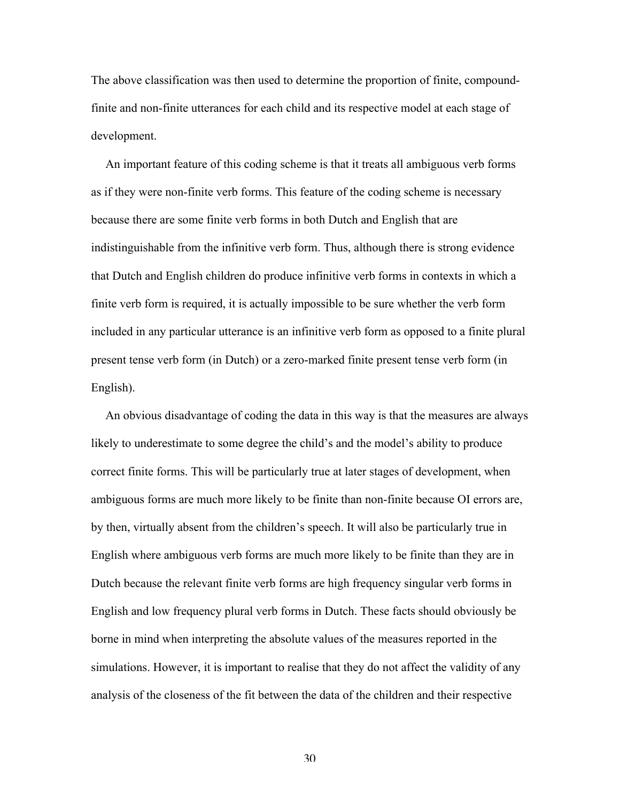The above classification was then used to determine the proportion of finite, compoundfinite and non-finite utterances for each child and its respective model at each stage of development.

An important feature of this coding scheme is that it treats all ambiguous verb forms as if they were non-finite verb forms. This feature of the coding scheme is necessary because there are some finite verb forms in both Dutch and English that are indistinguishable from the infinitive verb form. Thus, although there is strong evidence that Dutch and English children do produce infinitive verb forms in contexts in which a finite verb form is required, it is actually impossible to be sure whether the verb form included in any particular utterance is an infinitive verb form as opposed to a finite plural present tense verb form (in Dutch) or a zero-marked finite present tense verb form (in English).

An obvious disadvantage of coding the data in this way is that the measures are always likely to underestimate to some degree the child's and the model's ability to produce correct finite forms. This will be particularly true at later stages of development, when ambiguous forms are much more likely to be finite than non-finite because OI errors are, by then, virtually absent from the children's speech. It will also be particularly true in English where ambiguous verb forms are much more likely to be finite than they are in Dutch because the relevant finite verb forms are high frequency singular verb forms in English and low frequency plural verb forms in Dutch. These facts should obviously be borne in mind when interpreting the absolute values of the measures reported in the simulations. However, it is important to realise that they do not affect the validity of any analysis of the closeness of the fit between the data of the children and their respective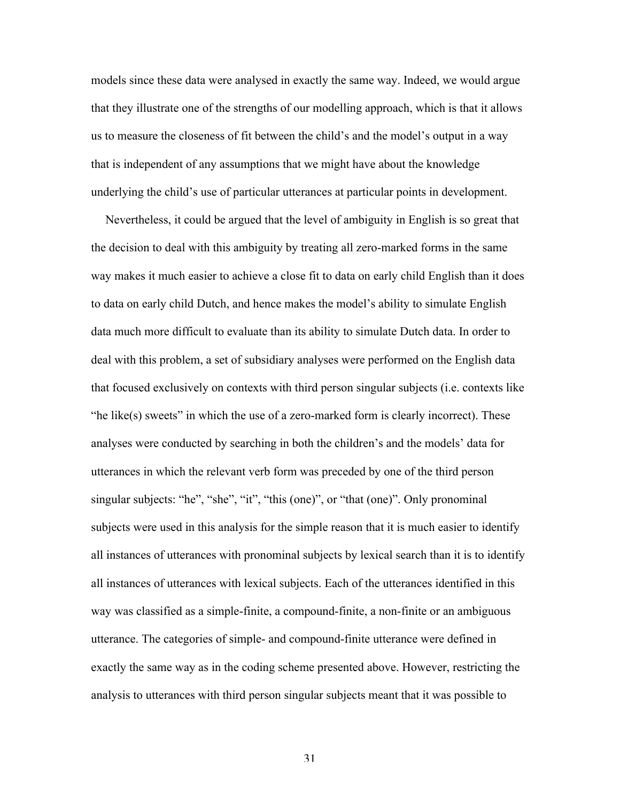models since these data were analysed in exactly the same way. Indeed, we would argue that they illustrate one of the strengths of our modelling approach, which is that it allows us to measure the closeness of fit between the child's and the model's output in a way that is independent of any assumptions that we might have about the knowledge underlying the child's use of particular utterances at particular points in development.

Nevertheless, it could be argued that the level of ambiguity in English is so great that the decision to deal with this ambiguity by treating all zero-marked forms in the same way makes it much easier to achieve a close fit to data on early child English than it does to data on early child Dutch, and hence makes the model's ability to simulate English data much more difficult to evaluate than its ability to simulate Dutch data. In order to deal with this problem, a set of subsidiary analyses were performed on the English data that focused exclusively on contexts with third person singular subjects (i.e. contexts like "he like(s) sweets" in which the use of a zero-marked form is clearly incorrect). These analyses were conducted by searching in both the children's and the models' data for utterances in which the relevant verb form was preceded by one of the third person singular subjects: "he", "she", "it", "this (one)", or "that (one)". Only pronominal subjects were used in this analysis for the simple reason that it is much easier to identify all instances of utterances with pronominal subjects by lexical search than it is to identify all instances of utterances with lexical subjects. Each of the utterances identified in this way was classified as a simple-finite, a compound-finite, a non-finite or an ambiguous utterance. The categories of simple- and compound-finite utterance were defined in exactly the same way as in the coding scheme presented above. However, restricting the analysis to utterances with third person singular subjects meant that it was possible to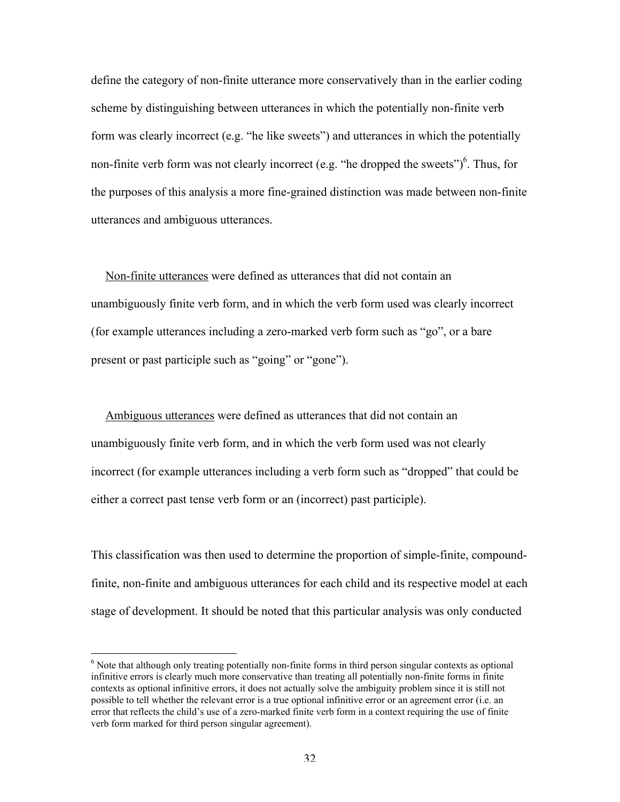define the category of non-finite utterance more conservatively than in the earlier coding scheme by distinguishing between utterances in which the potentially non-finite verb form was clearly incorrect (e.g. "he like sweets") and utterances in which the potentially non-finite verb form was not clearly incorrect (e.g. "he dropped the sweets") $<sup>6</sup>$ . Thus, for</sup> the purposes of this analysis a more fine-grained distinction was made between non-finite utterances and ambiguous utterances.

Non-finite utterances were defined as utterances that did not contain an unambiguously finite verb form, and in which the verb form used was clearly incorrect (for example utterances including a zero-marked verb form such as "go", or a bare present or past participle such as "going" or "gone").

Ambiguous utterances were defined as utterances that did not contain an unambiguously finite verb form, and in which the verb form used was not clearly incorrect (for example utterances including a verb form such as "dropped" that could be either a correct past tense verb form or an (incorrect) past participle).

This classification was then used to determine the proportion of simple-finite, compoundfinite, non-finite and ambiguous utterances for each child and its respective model at each stage of development. It should be noted that this particular analysis was only conducted

6  $6$  Note that although only treating potentially non-finite forms in third person singular contexts as optional infinitive errors is clearly much more conservative than treating all potentially non-finite forms in finite contexts as optional infinitive errors, it does not actually solve the ambiguity problem since it is still not possible to tell whether the relevant error is a true optional infinitive error or an agreement error (i.e. an error that reflects the child's use of a zero-marked finite verb form in a context requiring the use of finite verb form marked for third person singular agreement).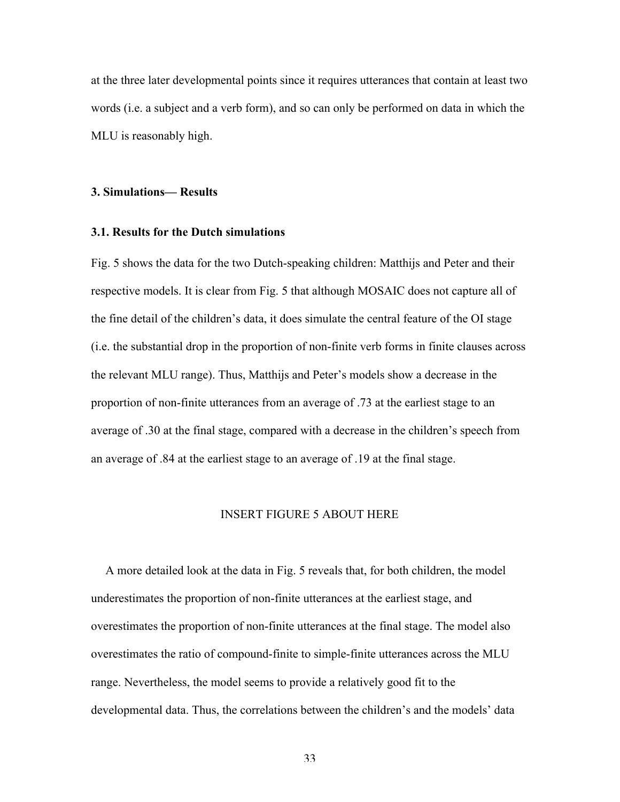at the three later developmental points since it requires utterances that contain at least two words (i.e. a subject and a verb form), and so can only be performed on data in which the MLU is reasonably high.

#### 3. Simulations— Results

#### 3.1. Results for the Dutch simulations

Fig. 5 shows the data for the two Dutch-speaking children: Matthijs and Peter and their respective models. It is clear from Fig. 5 that although MOSAIC does not capture all of the fine detail of the children's data, it does simulate the central feature of the OI stage (i.e. the substantial drop in the proportion of non-finite verb forms in finite clauses across the relevant MLU range). Thus, Matthijs and Peter's models show a decrease in the proportion of non-finite utterances from an average of .73 at the earliest stage to an average of .30 at the final stage, compared with a decrease in the children's speech from an average of .84 at the earliest stage to an average of .19 at the final stage.

# INSERT FIGURE 5 ABOUT HERE

A more detailed look at the data in Fig. 5 reveals that, for both children, the model underestimates the proportion of non-finite utterances at the earliest stage, and overestimates the proportion of non-finite utterances at the final stage. The model also overestimates the ratio of compound-finite to simple-finite utterances across the MLU range. Nevertheless, the model seems to provide a relatively good fit to the developmental data. Thus, the correlations between the children's and the models' data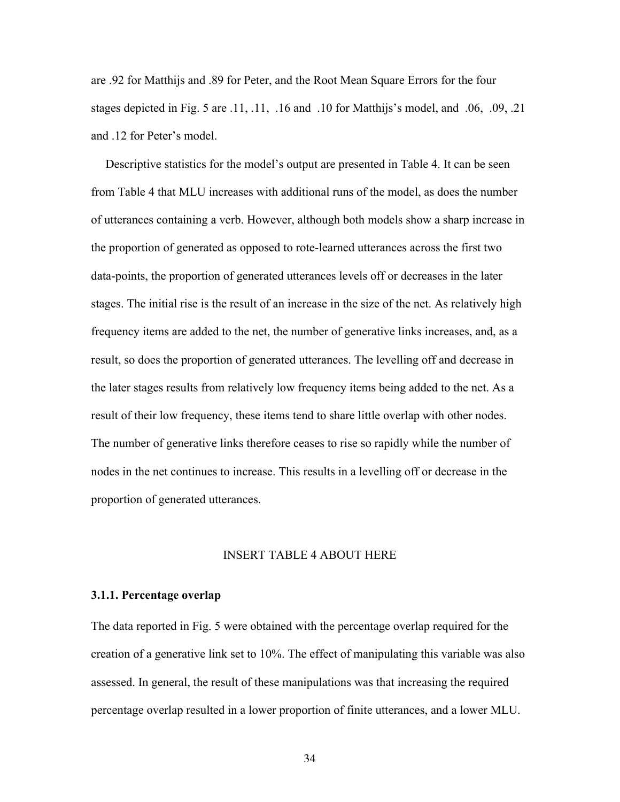are .92 for Matthijs and .89 for Peter, and the Root Mean Square Errors for the four stages depicted in Fig. 5 are .11, .11, .16 and .10 for Matthijs's model, and .06, .09, .21 and .12 for Peter's model.

Descriptive statistics for the model's output are presented in Table 4. It can be seen from Table 4 that MLU increases with additional runs of the model, as does the number of utterances containing a verb. However, although both models show a sharp increase in the proportion of generated as opposed to rote-learned utterances across the first two data-points, the proportion of generated utterances levels off or decreases in the later stages. The initial rise is the result of an increase in the size of the net. As relatively high frequency items are added to the net, the number of generative links increases, and, as a result, so does the proportion of generated utterances. The levelling off and decrease in the later stages results from relatively low frequency items being added to the net. As a result of their low frequency, these items tend to share little overlap with other nodes. The number of generative links therefore ceases to rise so rapidly while the number of nodes in the net continues to increase. This results in a levelling off or decrease in the proportion of generated utterances.

#### INSERT TABLE 4 ABOUT HERE

#### 3.1.1. Percentage overlap

The data reported in Fig. 5 were obtained with the percentage overlap required for the creation of a generative link set to 10%. The effect of manipulating this variable was also assessed. In general, the result of these manipulations was that increasing the required percentage overlap resulted in a lower proportion of finite utterances, and a lower MLU.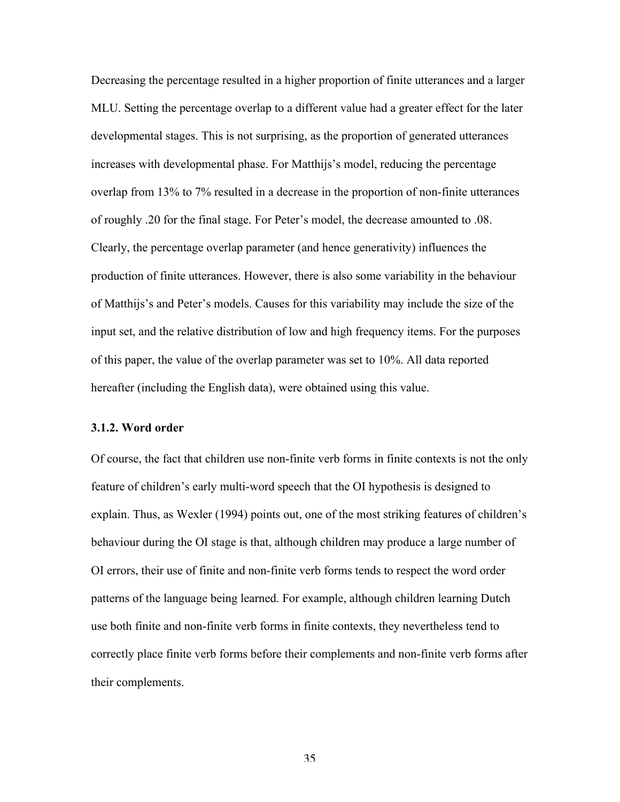Decreasing the percentage resulted in a higher proportion of finite utterances and a larger MLU. Setting the percentage overlap to a different value had a greater effect for the later developmental stages. This is not surprising, as the proportion of generated utterances increases with developmental phase. For Matthijs's model, reducing the percentage overlap from 13% to 7% resulted in a decrease in the proportion of non-finite utterances of roughly .20 for the final stage. For Peter's model, the decrease amounted to .08. Clearly, the percentage overlap parameter (and hence generativity) influences the production of finite utterances. However, there is also some variability in the behaviour of Matthijs's and Peter's models. Causes for this variability may include the size of the input set, and the relative distribution of low and high frequency items. For the purposes of this paper, the value of the overlap parameter was set to 10%. All data reported hereafter (including the English data), were obtained using this value.

#### 3.1.2. Word order

Of course, the fact that children use non-finite verb forms in finite contexts is not the only feature of children's early multi-word speech that the OI hypothesis is designed to explain. Thus, as Wexler (1994) points out, one of the most striking features of children's behaviour during the OI stage is that, although children may produce a large number of OI errors, their use of finite and non-finite verb forms tends to respect the word order patterns of the language being learned. For example, although children learning Dutch use both finite and non-finite verb forms in finite contexts, they nevertheless tend to correctly place finite verb forms before their complements and non-finite verb forms after their complements.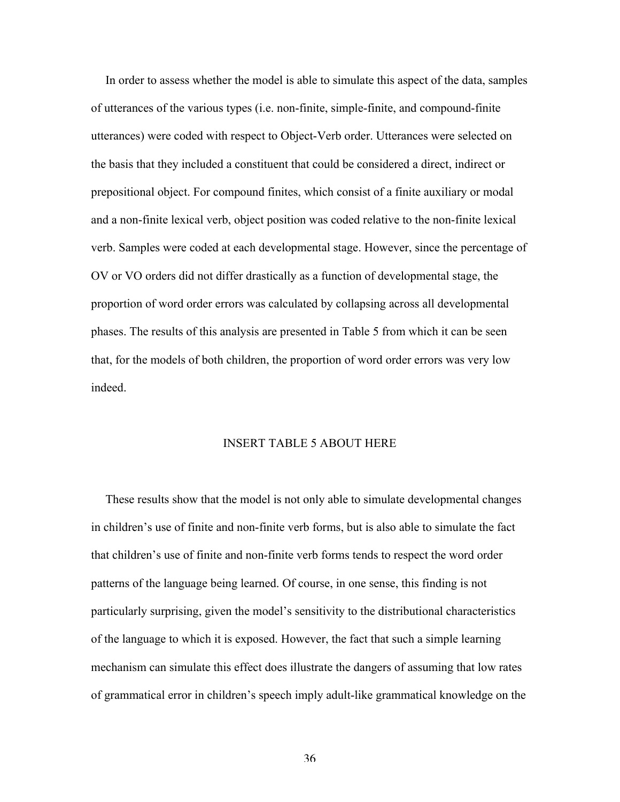In order to assess whether the model is able to simulate this aspect of the data, samples of utterances of the various types (i.e. non-finite, simple-finite, and compound-finite utterances) were coded with respect to Object-Verb order. Utterances were selected on the basis that they included a constituent that could be considered a direct, indirect or prepositional object. For compound finites, which consist of a finite auxiliary or modal and a non-finite lexical verb, object position was coded relative to the non-finite lexical verb. Samples were coded at each developmental stage. However, since the percentage of OV or VO orders did not differ drastically as a function of developmental stage, the proportion of word order errors was calculated by collapsing across all developmental phases. The results of this analysis are presented in Table 5 from which it can be seen that, for the models of both children, the proportion of word order errors was very low indeed.

### INSERT TABLE 5 ABOUT HERE

These results show that the model is not only able to simulate developmental changes in children's use of finite and non-finite verb forms, but is also able to simulate the fact that children's use of finite and non-finite verb forms tends to respect the word order patterns of the language being learned. Of course, in one sense, this finding is not particularly surprising, given the model's sensitivity to the distributional characteristics of the language to which it is exposed. However, the fact that such a simple learning mechanism can simulate this effect does illustrate the dangers of assuming that low rates of grammatical error in children's speech imply adult-like grammatical knowledge on the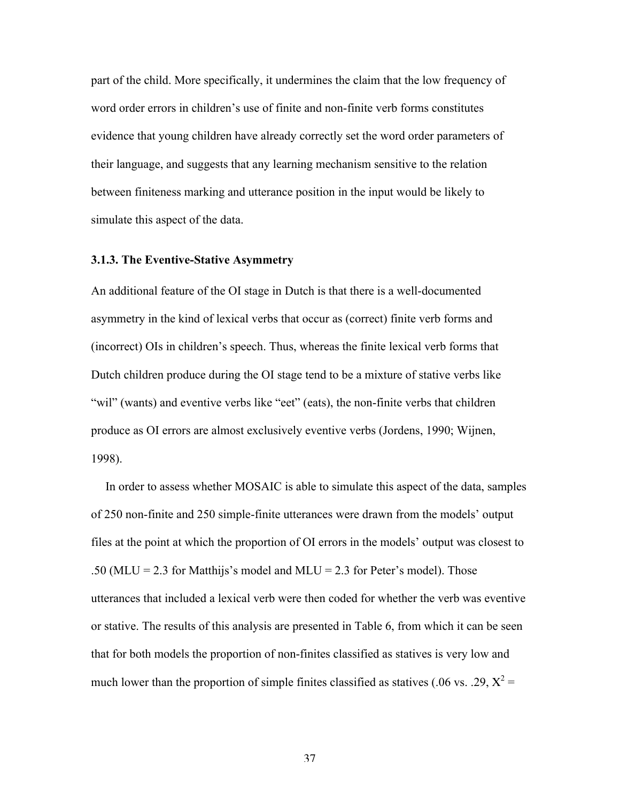part of the child. More specifically, it undermines the claim that the low frequency of word order errors in children's use of finite and non-finite verb forms constitutes evidence that young children have already correctly set the word order parameters of their language, and suggests that any learning mechanism sensitive to the relation between finiteness marking and utterance position in the input would be likely to simulate this aspect of the data.

# 3.1.3. The Eventive-Stative Asymmetry

An additional feature of the OI stage in Dutch is that there is a well-documented asymmetry in the kind of lexical verbs that occur as (correct) finite verb forms and (incorrect) OIs in children's speech. Thus, whereas the finite lexical verb forms that Dutch children produce during the OI stage tend to be a mixture of stative verbs like "wil" (wants) and eventive verbs like "eet" (eats), the non-finite verbs that children produce as OI errors are almost exclusively eventive verbs (Jordens, 1990; Wijnen, 1998).

In order to assess whether MOSAIC is able to simulate this aspect of the data, samples of 250 non-finite and 250 simple-finite utterances were drawn from the models' output files at the point at which the proportion of OI errors in the models' output was closest to .50 (MLU = 2.3 for Matthijs's model and MLU = 2.3 for Peter's model). Those utterances that included a lexical verb were then coded for whether the verb was eventive or stative. The results of this analysis are presented in Table 6, from which it can be seen that for both models the proportion of non-finites classified as statives is very low and much lower than the proportion of simple finites classified as statives (.06 vs. .29,  $X^2$  =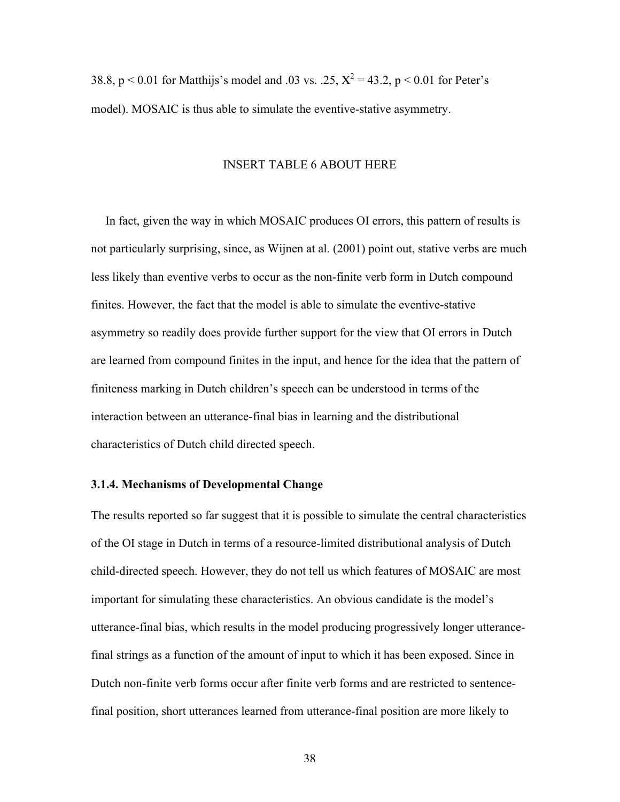38.8, p < 0.01 for Matthijs's model and .03 vs. .25,  $X^2 = 43.2$ , p < 0.01 for Peter's model). MOSAIC is thus able to simulate the eventive-stative asymmetry.

#### INSERT TABLE 6 ABOUT HERE

In fact, given the way in which MOSAIC produces OI errors, this pattern of results is not particularly surprising, since, as Wijnen at al. (2001) point out, stative verbs are much less likely than eventive verbs to occur as the non-finite verb form in Dutch compound finites. However, the fact that the model is able to simulate the eventive-stative asymmetry so readily does provide further support for the view that OI errors in Dutch are learned from compound finites in the input, and hence for the idea that the pattern of finiteness marking in Dutch children's speech can be understood in terms of the interaction between an utterance-final bias in learning and the distributional characteristics of Dutch child directed speech.

# 3.1.4. Mechanisms of Developmental Change

The results reported so far suggest that it is possible to simulate the central characteristics of the OI stage in Dutch in terms of a resource-limited distributional analysis of Dutch child-directed speech. However, they do not tell us which features of MOSAIC are most important for simulating these characteristics. An obvious candidate is the model's utterance-final bias, which results in the model producing progressively longer utterancefinal strings as a function of the amount of input to which it has been exposed. Since in Dutch non-finite verb forms occur after finite verb forms and are restricted to sentencefinal position, short utterances learned from utterance-final position are more likely to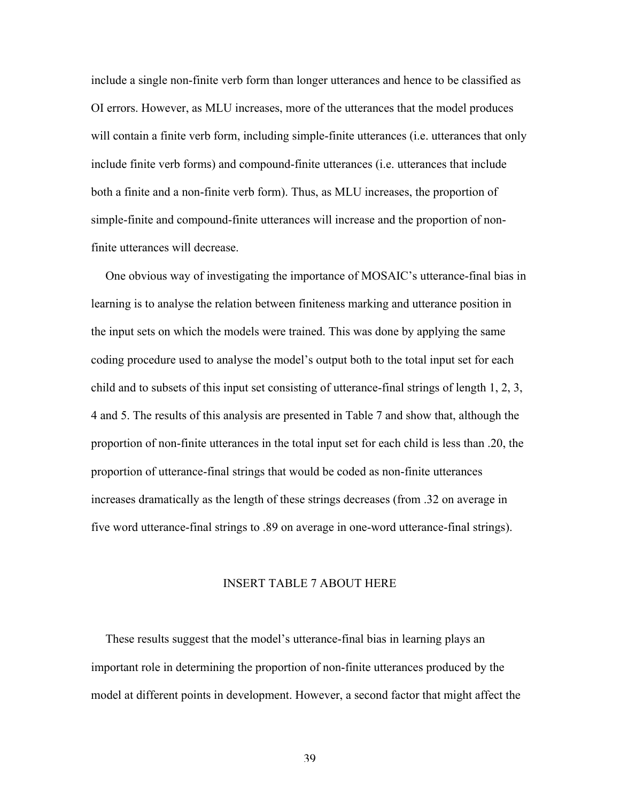include a single non-finite verb form than longer utterances and hence to be classified as OI errors. However, as MLU increases, more of the utterances that the model produces will contain a finite verb form, including simple-finite utterances (i.e. utterances that only include finite verb forms) and compound-finite utterances (i.e. utterances that include both a finite and a non-finite verb form). Thus, as MLU increases, the proportion of simple-finite and compound-finite utterances will increase and the proportion of nonfinite utterances will decrease.

One obvious way of investigating the importance of MOSAIC's utterance-final bias in learning is to analyse the relation between finiteness marking and utterance position in the input sets on which the models were trained. This was done by applying the same coding procedure used to analyse the model's output both to the total input set for each child and to subsets of this input set consisting of utterance-final strings of length 1, 2, 3, 4 and 5. The results of this analysis are presented in Table 7 and show that, although the proportion of non-finite utterances in the total input set for each child is less than .20, the proportion of utterance-final strings that would be coded as non-finite utterances increases dramatically as the length of these strings decreases (from .32 on average in five word utterance-final strings to .89 on average in one-word utterance-final strings).

#### INSERT TABLE 7 ABOUT HERE

These results suggest that the model's utterance-final bias in learning plays an important role in determining the proportion of non-finite utterances produced by the model at different points in development. However, a second factor that might affect the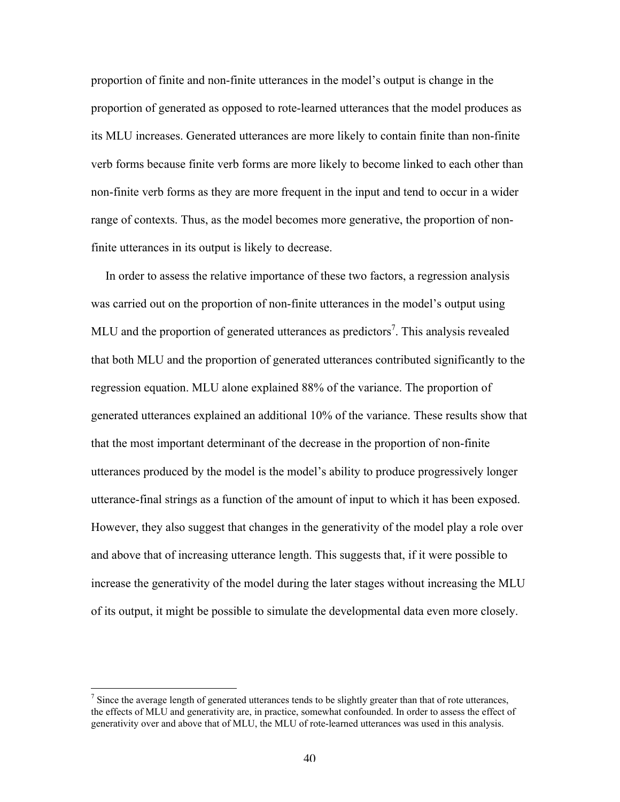proportion of finite and non-finite utterances in the model's output is change in the proportion of generated as opposed to rote-learned utterances that the model produces as its MLU increases. Generated utterances are more likely to contain finite than non-finite verb forms because finite verb forms are more likely to become linked to each other than non-finite verb forms as they are more frequent in the input and tend to occur in a wider range of contexts. Thus, as the model becomes more generative, the proportion of nonfinite utterances in its output is likely to decrease.

In order to assess the relative importance of these two factors, a regression analysis was carried out on the proportion of non-finite utterances in the model's output using MLU and the proportion of generated utterances as predictors<sup>7</sup>. This analysis revealed that both MLU and the proportion of generated utterances contributed significantly to the regression equation. MLU alone explained 88% of the variance. The proportion of generated utterances explained an additional 10% of the variance. These results show that that the most important determinant of the decrease in the proportion of non-finite utterances produced by the model is the model's ability to produce progressively longer utterance-final strings as a function of the amount of input to which it has been exposed. However, they also suggest that changes in the generativity of the model play a role over and above that of increasing utterance length. This suggests that, if it were possible to increase the generativity of the model during the later stages without increasing the MLU of its output, it might be possible to simulate the developmental data even more closely.

<sup>-&</sup>lt;br>7  $\frac{7}{1}$  Since the average length of generated utterances tends to be slightly greater than that of rote utterances, the effects of MLU and generativity are, in practice, somewhat confounded. In order to assess the effect of generativity over and above that of MLU, the MLU of rote-learned utterances was used in this analysis.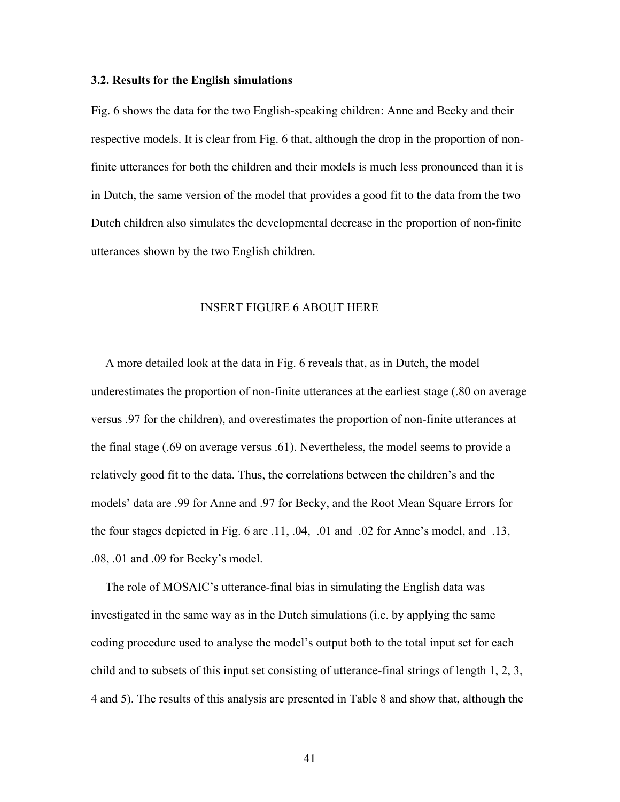#### 3.2. Results for the English simulations

Fig. 6 shows the data for the two English-speaking children: Anne and Becky and their respective models. It is clear from Fig. 6 that, although the drop in the proportion of nonfinite utterances for both the children and their models is much less pronounced than it is in Dutch, the same version of the model that provides a good fit to the data from the two Dutch children also simulates the developmental decrease in the proportion of non-finite utterances shown by the two English children.

# INSERT FIGURE 6 ABOUT HERE

A more detailed look at the data in Fig. 6 reveals that, as in Dutch, the model underestimates the proportion of non-finite utterances at the earliest stage (.80 on average versus .97 for the children), and overestimates the proportion of non-finite utterances at the final stage (.69 on average versus .61). Nevertheless, the model seems to provide a relatively good fit to the data. Thus, the correlations between the children's and the models' data are .99 for Anne and .97 for Becky, and the Root Mean Square Errors for the four stages depicted in Fig. 6 are .11, .04, .01 and .02 for Anne's model, and .13, .08, .01 and .09 for Becky's model.

The role of MOSAIC's utterance-final bias in simulating the English data was investigated in the same way as in the Dutch simulations (i.e. by applying the same coding procedure used to analyse the model's output both to the total input set for each child and to subsets of this input set consisting of utterance-final strings of length 1, 2, 3, 4 and 5). The results of this analysis are presented in Table 8 and show that, although the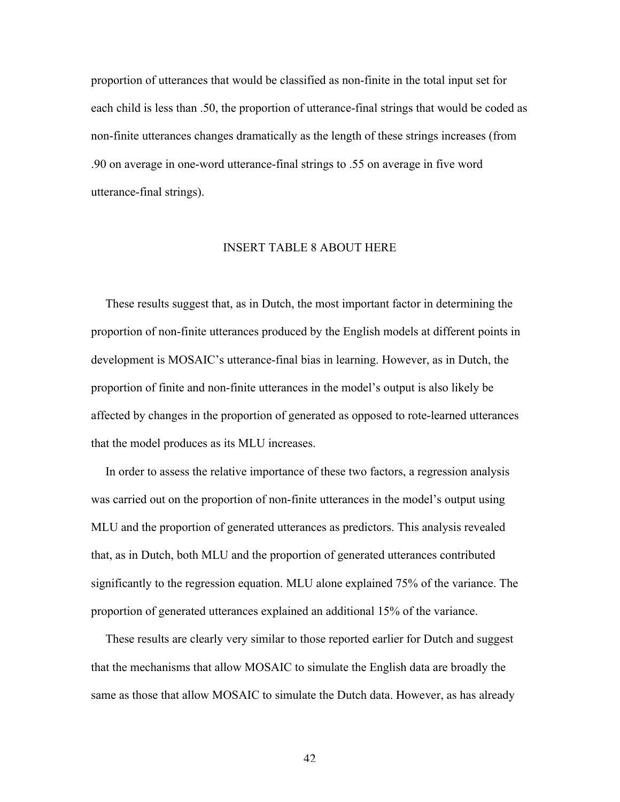proportion of utterances that would be classified as non-finite in the total input set for each child is less than .50, the proportion of utterance-final strings that would be coded as non-finite utterances changes dramatically as the length of these strings increases (from .90 on average in one-word utterance-final strings to .55 on average in five word utterance-final strings).

### INSERT TABLE 8 ABOUT HERE

These results suggest that, as in Dutch, the most important factor in determining the proportion of non-finite utterances produced by the English models at different points in development is MOSAIC's utterance-final bias in learning. However, as in Dutch, the proportion of finite and non-finite utterances in the model's output is also likely be affected by changes in the proportion of generated as opposed to rote-learned utterances that the model produces as its MLU increases.

In order to assess the relative importance of these two factors, a regression analysis was carried out on the proportion of non-finite utterances in the model's output using MLU and the proportion of generated utterances as predictors. This analysis revealed that, as in Dutch, both MLU and the proportion of generated utterances contributed significantly to the regression equation. MLU alone explained 75% of the variance. The proportion of generated utterances explained an additional 15% of the variance.

These results are clearly very similar to those reported earlier for Dutch and suggest that the mechanisms that allow MOSAIC to simulate the English data are broadly the same as those that allow MOSAIC to simulate the Dutch data. However, as has already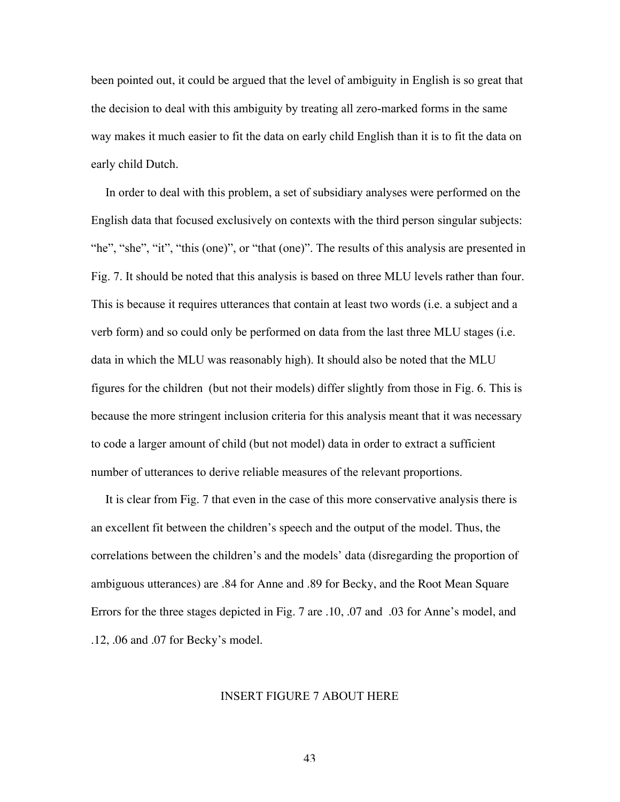been pointed out, it could be argued that the level of ambiguity in English is so great that the decision to deal with this ambiguity by treating all zero-marked forms in the same way makes it much easier to fit the data on early child English than it is to fit the data on early child Dutch.

In order to deal with this problem, a set of subsidiary analyses were performed on the English data that focused exclusively on contexts with the third person singular subjects: "he", "she", "it", "this (one)", or "that (one)". The results of this analysis are presented in Fig. 7. It should be noted that this analysis is based on three MLU levels rather than four. This is because it requires utterances that contain at least two words (i.e. a subject and a verb form) and so could only be performed on data from the last three MLU stages (i.e. data in which the MLU was reasonably high). It should also be noted that the MLU figures for the children (but not their models) differ slightly from those in Fig. 6. This is because the more stringent inclusion criteria for this analysis meant that it was necessary to code a larger amount of child (but not model) data in order to extract a sufficient number of utterances to derive reliable measures of the relevant proportions.

It is clear from Fig. 7 that even in the case of this more conservative analysis there is an excellent fit between the children's speech and the output of the model. Thus, the correlations between the children's and the models' data (disregarding the proportion of ambiguous utterances) are .84 for Anne and .89 for Becky, and the Root Mean Square Errors for the three stages depicted in Fig. 7 are .10, .07 and .03 for Anne's model, and .12, .06 and .07 for Becky's model.

# INSERT FIGURE 7 ABOUT HERE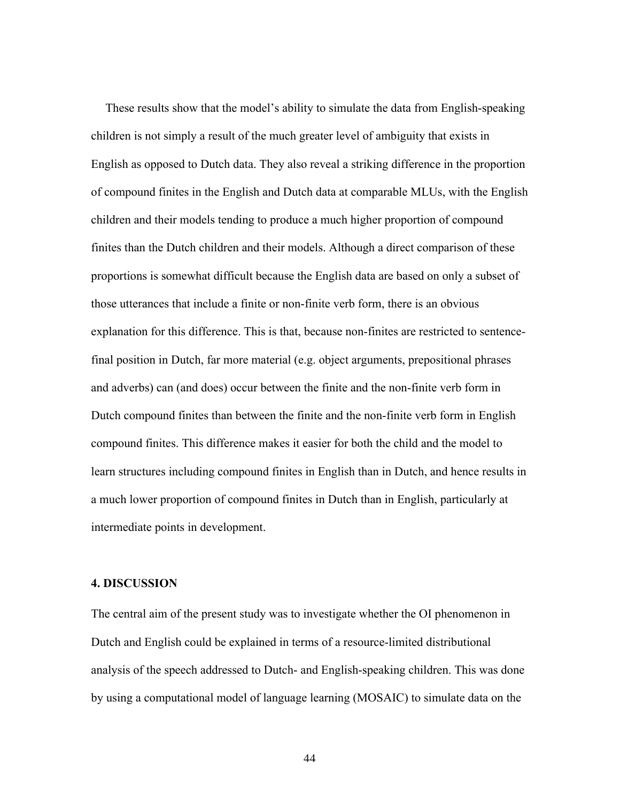These results show that the model's ability to simulate the data from English-speaking children is not simply a result of the much greater level of ambiguity that exists in English as opposed to Dutch data. They also reveal a striking difference in the proportion of compound finites in the English and Dutch data at comparable MLUs, with the English children and their models tending to produce a much higher proportion of compound finites than the Dutch children and their models. Although a direct comparison of these proportions is somewhat difficult because the English data are based on only a subset of those utterances that include a finite or non-finite verb form, there is an obvious explanation for this difference. This is that, because non-finites are restricted to sentencefinal position in Dutch, far more material (e.g. object arguments, prepositional phrases and adverbs) can (and does) occur between the finite and the non-finite verb form in Dutch compound finites than between the finite and the non-finite verb form in English compound finites. This difference makes it easier for both the child and the model to learn structures including compound finites in English than in Dutch, and hence results in a much lower proportion of compound finites in Dutch than in English, particularly at intermediate points in development.

#### 4. DISCUSSION

The central aim of the present study was to investigate whether the OI phenomenon in Dutch and English could be explained in terms of a resource-limited distributional analysis of the speech addressed to Dutch- and English-speaking children. This was done by using a computational model of language learning (MOSAIC) to simulate data on the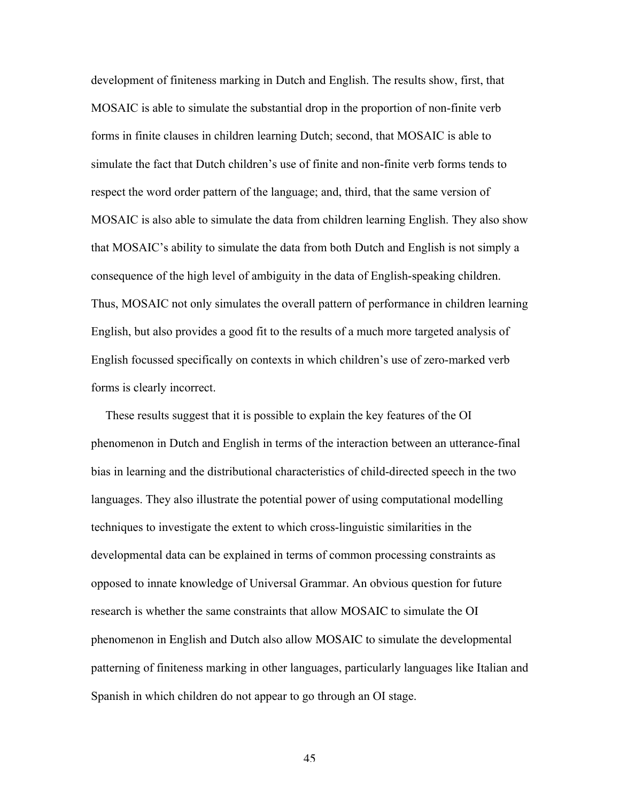development of finiteness marking in Dutch and English. The results show, first, that MOSAIC is able to simulate the substantial drop in the proportion of non-finite verb forms in finite clauses in children learning Dutch; second, that MOSAIC is able to simulate the fact that Dutch children's use of finite and non-finite verb forms tends to respect the word order pattern of the language; and, third, that the same version of MOSAIC is also able to simulate the data from children learning English. They also show that MOSAIC's ability to simulate the data from both Dutch and English is not simply a consequence of the high level of ambiguity in the data of English-speaking children. Thus, MOSAIC not only simulates the overall pattern of performance in children learning English, but also provides a good fit to the results of a much more targeted analysis of English focussed specifically on contexts in which children's use of zero-marked verb forms is clearly incorrect.

These results suggest that it is possible to explain the key features of the OI phenomenon in Dutch and English in terms of the interaction between an utterance-final bias in learning and the distributional characteristics of child-directed speech in the two languages. They also illustrate the potential power of using computational modelling techniques to investigate the extent to which cross-linguistic similarities in the developmental data can be explained in terms of common processing constraints as opposed to innate knowledge of Universal Grammar. An obvious question for future research is whether the same constraints that allow MOSAIC to simulate the OI phenomenon in English and Dutch also allow MOSAIC to simulate the developmental patterning of finiteness marking in other languages, particularly languages like Italian and Spanish in which children do not appear to go through an OI stage.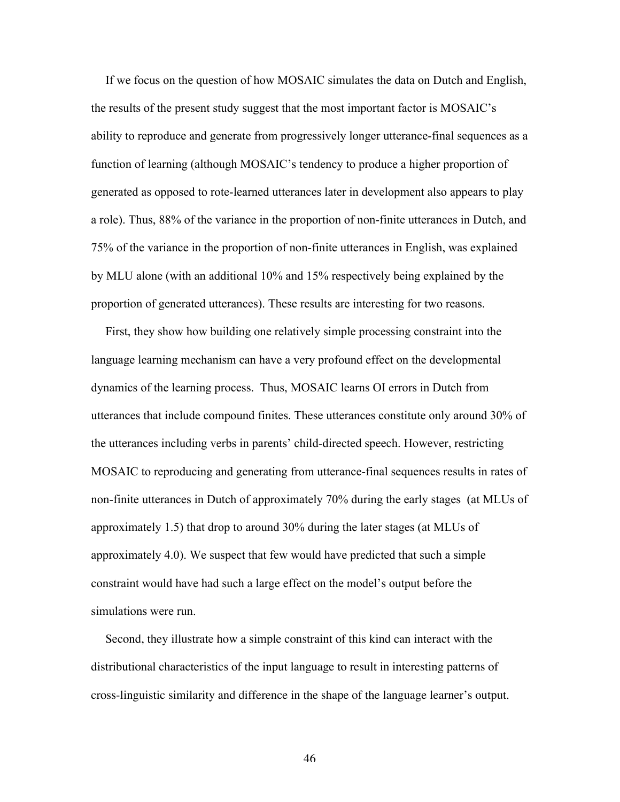If we focus on the question of how MOSAIC simulates the data on Dutch and English, the results of the present study suggest that the most important factor is MOSAIC's ability to reproduce and generate from progressively longer utterance-final sequences as a function of learning (although MOSAIC's tendency to produce a higher proportion of generated as opposed to rote-learned utterances later in development also appears to play a role). Thus, 88% of the variance in the proportion of non-finite utterances in Dutch, and 75% of the variance in the proportion of non-finite utterances in English, was explained by MLU alone (with an additional 10% and 15% respectively being explained by the proportion of generated utterances). These results are interesting for two reasons.

First, they show how building one relatively simple processing constraint into the language learning mechanism can have a very profound effect on the developmental dynamics of the learning process. Thus, MOSAIC learns OI errors in Dutch from utterances that include compound finites. These utterances constitute only around 30% of the utterances including verbs in parents' child-directed speech. However, restricting MOSAIC to reproducing and generating from utterance-final sequences results in rates of non-finite utterances in Dutch of approximately 70% during the early stages (at MLUs of approximately 1.5) that drop to around 30% during the later stages (at MLUs of approximately 4.0). We suspect that few would have predicted that such a simple constraint would have had such a large effect on the model's output before the simulations were run.

Second, they illustrate how a simple constraint of this kind can interact with the distributional characteristics of the input language to result in interesting patterns of cross-linguistic similarity and difference in the shape of the language learner's output.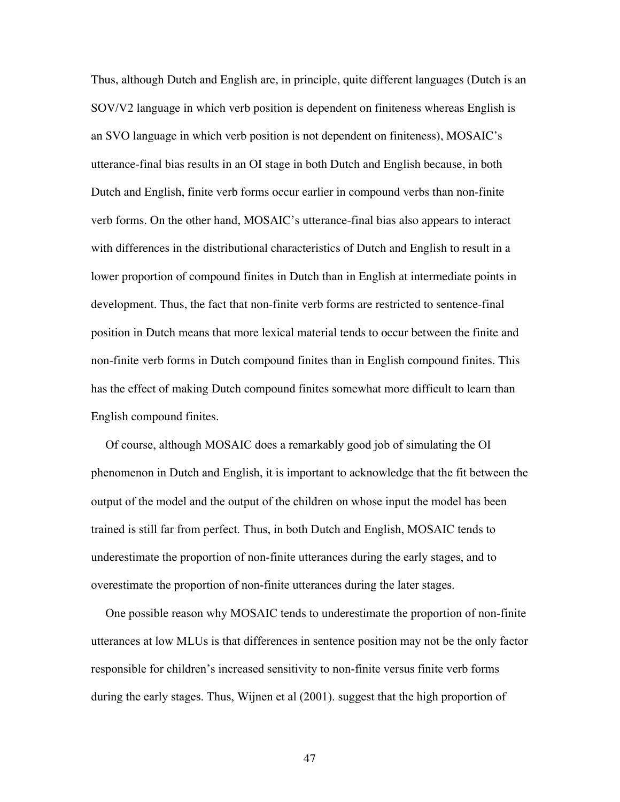Thus, although Dutch and English are, in principle, quite different languages (Dutch is an SOV/V2 language in which verb position is dependent on finiteness whereas English is an SVO language in which verb position is not dependent on finiteness), MOSAIC's utterance-final bias results in an OI stage in both Dutch and English because, in both Dutch and English, finite verb forms occur earlier in compound verbs than non-finite verb forms. On the other hand, MOSAIC's utterance-final bias also appears to interact with differences in the distributional characteristics of Dutch and English to result in a lower proportion of compound finites in Dutch than in English at intermediate points in development. Thus, the fact that non-finite verb forms are restricted to sentence-final position in Dutch means that more lexical material tends to occur between the finite and non-finite verb forms in Dutch compound finites than in English compound finites. This has the effect of making Dutch compound finites somewhat more difficult to learn than English compound finites.

Of course, although MOSAIC does a remarkably good job of simulating the OI phenomenon in Dutch and English, it is important to acknowledge that the fit between the output of the model and the output of the children on whose input the model has been trained is still far from perfect. Thus, in both Dutch and English, MOSAIC tends to underestimate the proportion of non-finite utterances during the early stages, and to overestimate the proportion of non-finite utterances during the later stages.

One possible reason why MOSAIC tends to underestimate the proportion of non-finite utterances at low MLUs is that differences in sentence position may not be the only factor responsible for children's increased sensitivity to non-finite versus finite verb forms during the early stages. Thus, Wijnen et al (2001). suggest that the high proportion of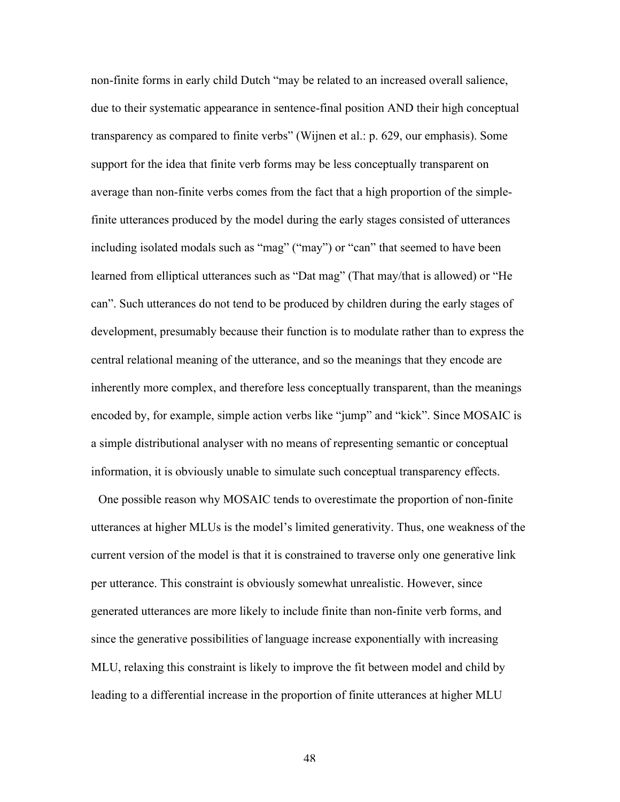non-finite forms in early child Dutch "may be related to an increased overall salience, due to their systematic appearance in sentence-final position AND their high conceptual transparency as compared to finite verbs" (Wijnen et al.: p. 629, our emphasis). Some support for the idea that finite verb forms may be less conceptually transparent on average than non-finite verbs comes from the fact that a high proportion of the simplefinite utterances produced by the model during the early stages consisted of utterances including isolated modals such as "mag" ("may") or "can" that seemed to have been learned from elliptical utterances such as "Dat mag" (That may/that is allowed) or "He can". Such utterances do not tend to be produced by children during the early stages of development, presumably because their function is to modulate rather than to express the central relational meaning of the utterance, and so the meanings that they encode are inherently more complex, and therefore less conceptually transparent, than the meanings encoded by, for example, simple action verbs like "jump" and "kick". Since MOSAIC is a simple distributional analyser with no means of representing semantic or conceptual information, it is obviously unable to simulate such conceptual transparency effects.

One possible reason why MOSAIC tends to overestimate the proportion of non-finite utterances at higher MLUs is the model's limited generativity. Thus, one weakness of the current version of the model is that it is constrained to traverse only one generative link per utterance. This constraint is obviously somewhat unrealistic. However, since generated utterances are more likely to include finite than non-finite verb forms, and since the generative possibilities of language increase exponentially with increasing MLU, relaxing this constraint is likely to improve the fit between model and child by leading to a differential increase in the proportion of finite utterances at higher MLU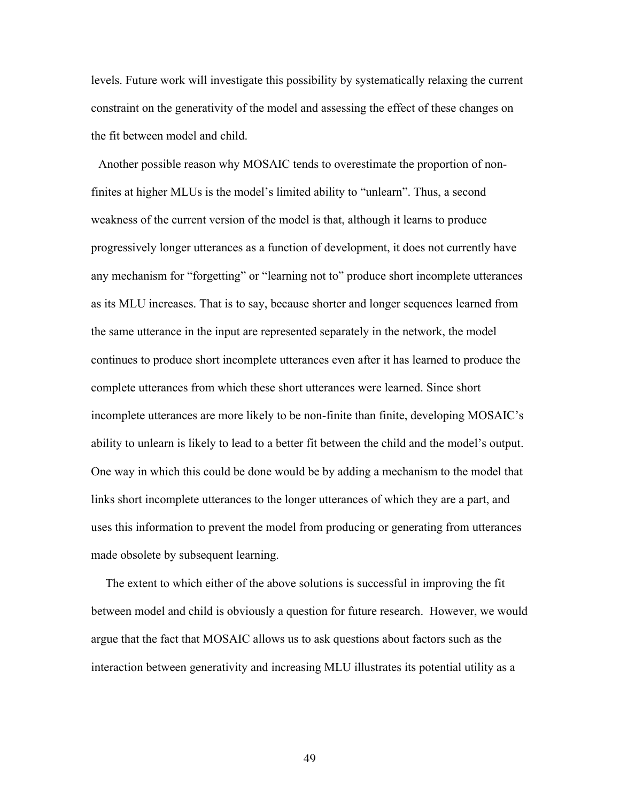levels. Future work will investigate this possibility by systematically relaxing the current constraint on the generativity of the model and assessing the effect of these changes on the fit between model and child.

Another possible reason why MOSAIC tends to overestimate the proportion of nonfinites at higher MLUs is the model's limited ability to "unlearn". Thus, a second weakness of the current version of the model is that, although it learns to produce progressively longer utterances as a function of development, it does not currently have any mechanism for "forgetting" or "learning not to" produce short incomplete utterances as its MLU increases. That is to say, because shorter and longer sequences learned from the same utterance in the input are represented separately in the network, the model continues to produce short incomplete utterances even after it has learned to produce the complete utterances from which these short utterances were learned. Since short incomplete utterances are more likely to be non-finite than finite, developing MOSAIC's ability to unlearn is likely to lead to a better fit between the child and the model's output. One way in which this could be done would be by adding a mechanism to the model that links short incomplete utterances to the longer utterances of which they are a part, and uses this information to prevent the model from producing or generating from utterances made obsolete by subsequent learning.

The extent to which either of the above solutions is successful in improving the fit between model and child is obviously a question for future research. However, we would argue that the fact that MOSAIC allows us to ask questions about factors such as the interaction between generativity and increasing MLU illustrates its potential utility as a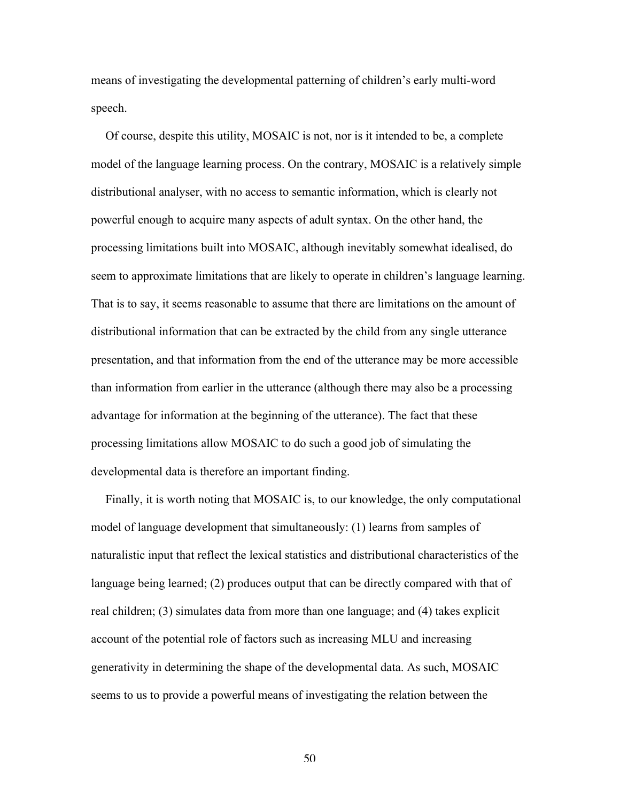means of investigating the developmental patterning of children's early multi-word speech.

Of course, despite this utility, MOSAIC is not, nor is it intended to be, a complete model of the language learning process. On the contrary, MOSAIC is a relatively simple distributional analyser, with no access to semantic information, which is clearly not powerful enough to acquire many aspects of adult syntax. On the other hand, the processing limitations built into MOSAIC, although inevitably somewhat idealised, do seem to approximate limitations that are likely to operate in children's language learning. That is to say, it seems reasonable to assume that there are limitations on the amount of distributional information that can be extracted by the child from any single utterance presentation, and that information from the end of the utterance may be more accessible than information from earlier in the utterance (although there may also be a processing advantage for information at the beginning of the utterance). The fact that these processing limitations allow MOSAIC to do such a good job of simulating the developmental data is therefore an important finding.

Finally, it is worth noting that MOSAIC is, to our knowledge, the only computational model of language development that simultaneously: (1) learns from samples of naturalistic input that reflect the lexical statistics and distributional characteristics of the language being learned; (2) produces output that can be directly compared with that of real children; (3) simulates data from more than one language; and (4) takes explicit account of the potential role of factors such as increasing MLU and increasing generativity in determining the shape of the developmental data. As such, MOSAIC seems to us to provide a powerful means of investigating the relation between the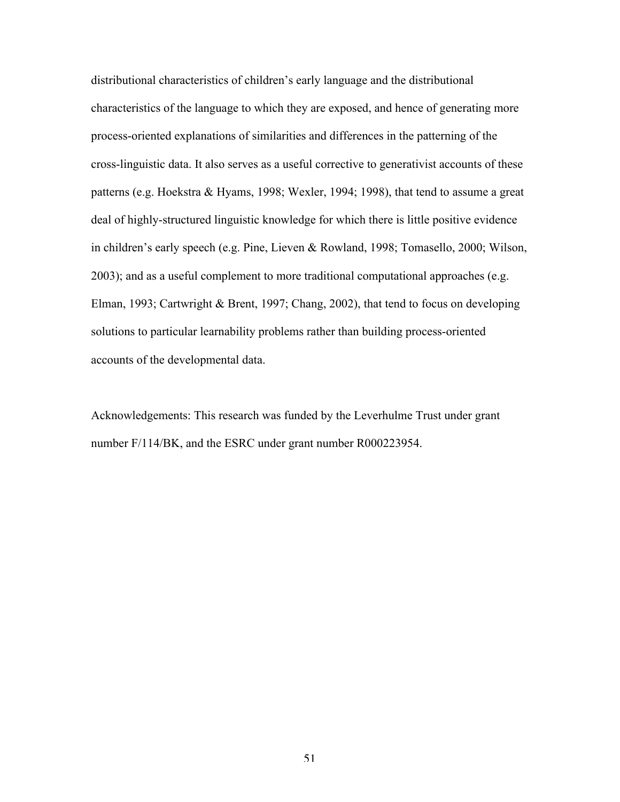distributional characteristics of children's early language and the distributional characteristics of the language to which they are exposed, and hence of generating more process-oriented explanations of similarities and differences in the patterning of the cross-linguistic data. It also serves as a useful corrective to generativist accounts of these patterns (e.g. Hoekstra & Hyams, 1998; Wexler, 1994; 1998), that tend to assume a great deal of highly-structured linguistic knowledge for which there is little positive evidence in children's early speech (e.g. Pine, Lieven & Rowland, 1998; Tomasello, 2000; Wilson, 2003); and as a useful complement to more traditional computational approaches (e.g. Elman, 1993; Cartwright & Brent, 1997; Chang, 2002), that tend to focus on developing solutions to particular learnability problems rather than building process-oriented accounts of the developmental data.

Acknowledgements: This research was funded by the Leverhulme Trust under grant number F/114/BK, and the ESRC under grant number R000223954.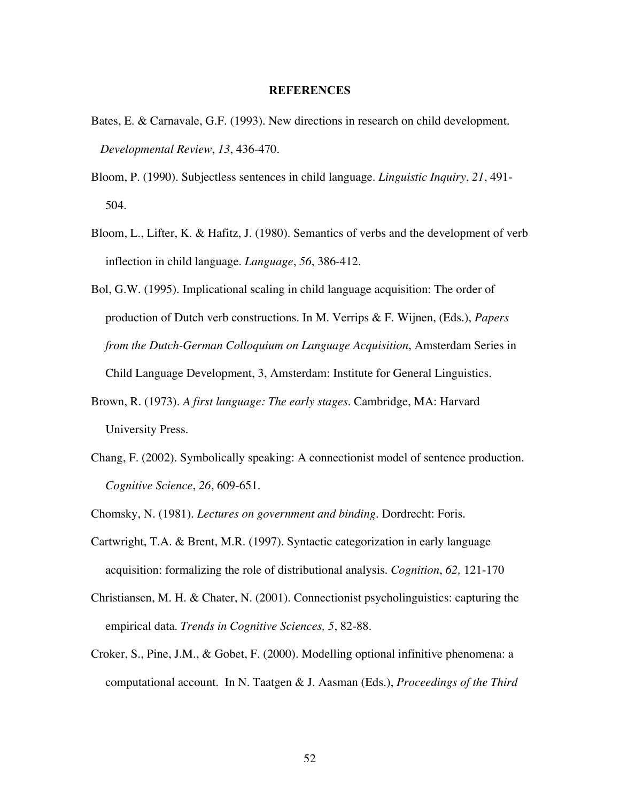# **REFERENCES**

- Bates, E. & Carnavale, G.F. (1993). New directions in research on child development.  *Developmental Review*, *13*, 436-470.
- Bloom, P. (1990). Subjectless sentences in child language. *Linguistic Inquiry*, *21*, 491- 504.
- Bloom, L., Lifter, K. & Hafitz, J. (1980). Semantics of verbs and the development of verb inflection in child language. *Language*, *56*, 386-412.
- Bol, G.W. (1995). Implicational scaling in child language acquisition: The order of production of Dutch verb constructions. In M. Verrips & F. Wijnen, (Eds.), *Papers from the Dutch-German Colloquium on Language Acquisition*, Amsterdam Series in Child Language Development, 3, Amsterdam: Institute for General Linguistics.
- Brown, R. (1973). *A first language: The early stages*. Cambridge, MA: Harvard University Press.
- Chang, F. (2002). Symbolically speaking: A connectionist model of sentence production. *Cognitive Science*, *26*, 609-651.
- Chomsky, N. (1981). *Lectures on government and binding*. Dordrecht: Foris.
- Cartwright, T.A. & Brent, M.R. (1997). Syntactic categorization in early language acquisition: formalizing the role of distributional analysis. *Cognition*, *62,* 121-170
- Christiansen, M. H. & Chater, N. (2001). Connectionist psycholinguistics: capturing the empirical data. *Trends in Cognitive Sciences, 5*, 82-88.
- Croker, S., Pine, J.M., & Gobet, F. (2000). Modelling optional infinitive phenomena: a computational account. In N. Taatgen & J. Aasman (Eds.), *Proceedings of the Third*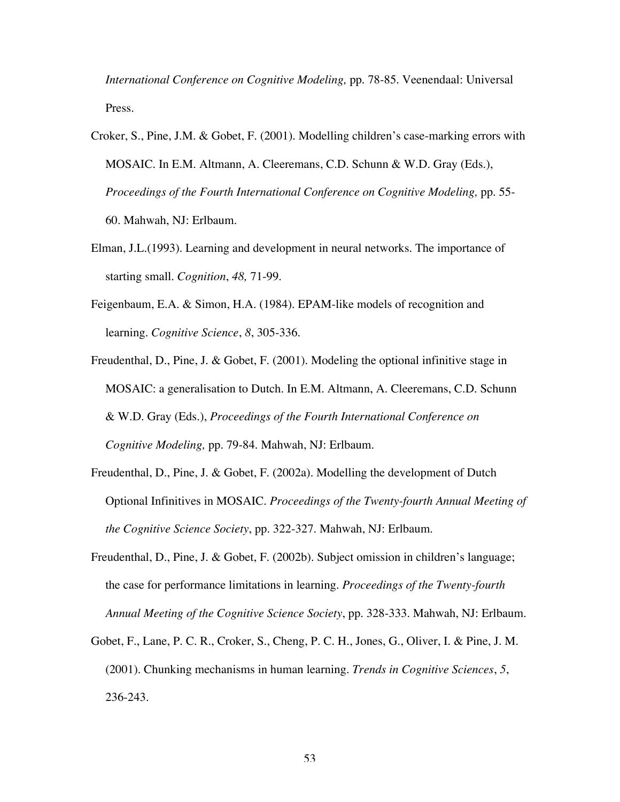*International Conference on Cognitive Modeling,* pp. 78-85. Veenendaal: Universal Press.

- Croker, S., Pine, J.M. & Gobet, F. (2001). Modelling children's case-marking errors with MOSAIC. In E.M. Altmann, A. Cleeremans, C.D. Schunn & W.D. Gray (Eds.), *Proceedings of the Fourth International Conference on Cognitive Modeling,* pp. 55- 60. Mahwah, NJ: Erlbaum.
- Elman, J.L.(1993). Learning and development in neural networks. The importance of starting small. *Cognition*, *48,* 71-99.
- Feigenbaum, E.A. & Simon, H.A. (1984). EPAM-like models of recognition and learning. *Cognitive Science*, *8*, 305-336.
- Freudenthal, D., Pine, J. & Gobet, F. (2001). Modeling the optional infinitive stage in MOSAIC: a generalisation to Dutch. In E.M. Altmann, A. Cleeremans, C.D. Schunn & W.D. Gray (Eds.), *Proceedings of the Fourth International Conference on Cognitive Modeling,* pp. 79-84. Mahwah, NJ: Erlbaum.
- Freudenthal, D., Pine, J. & Gobet, F. (2002a). Modelling the development of Dutch Optional Infinitives in MOSAIC. *Proceedings of the Twenty-fourth Annual Meeting of the Cognitive Science Society*, pp. 322-327. Mahwah, NJ: Erlbaum.
- Freudenthal, D., Pine, J. & Gobet, F. (2002b). Subject omission in children's language; the case for performance limitations in learning. *Proceedings of the Twenty-fourth Annual Meeting of the Cognitive Science Society*, pp. 328-333. Mahwah, NJ: Erlbaum.
- Gobet, F., Lane, P. C. R., Croker, S., Cheng, P. C. H., Jones, G., Oliver, I. & Pine, J. M. (2001). Chunking mechanisms in human learning. *Trends in Cognitive Sciences*, *5*, 236-243.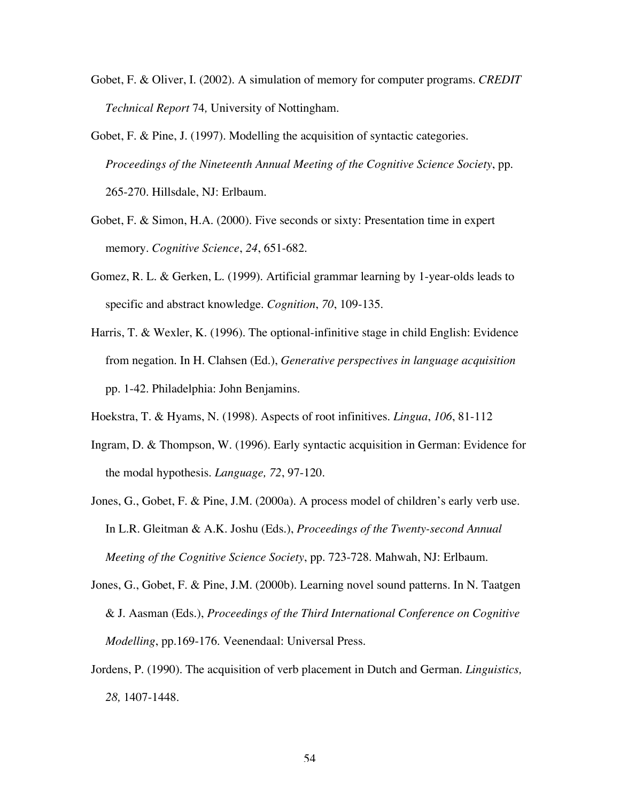- Gobet, F. & Oliver, I. (2002). A simulation of memory for computer programs. *CREDIT Technical Report* 74*,* University of Nottingham.
- Gobet, F. & Pine, J. (1997). Modelling the acquisition of syntactic categories. *Proceedings of the Nineteenth Annual Meeting of the Cognitive Science Society*, pp. 265-270. Hillsdale, NJ: Erlbaum.
- Gobet, F. & Simon, H.A. (2000). Five seconds or sixty: Presentation time in expert memory. *Cognitive Science*, *24*, 651-682.
- Gomez, R. L. & Gerken, L. (1999). Artificial grammar learning by 1-year-olds leads to specific and abstract knowledge. *Cognition*, *70*, 109-135.
- Harris, T. & Wexler, K. (1996). The optional-infinitive stage in child English: Evidence from negation. In H. Clahsen (Ed.), *Generative perspectives in language acquisition* pp. 1-42. Philadelphia: John Benjamins.
- Hoekstra, T. & Hyams, N. (1998). Aspects of root infinitives. *Lingua*, *106*, 81-112
- Ingram, D. & Thompson, W. (1996). Early syntactic acquisition in German: Evidence for the modal hypothesis. *Language, 72*, 97-120.
- Jones, G., Gobet, F. & Pine, J.M. (2000a). A process model of children's early verb use. In L.R. Gleitman & A.K. Joshu (Eds.), *Proceedings of the Twenty-second Annual Meeting of the Cognitive Science Society*, pp. 723-728. Mahwah, NJ: Erlbaum.
- Jones, G., Gobet, F. & Pine, J.M. (2000b). Learning novel sound patterns. In N. Taatgen & J. Aasman (Eds.), *Proceedings of the Third International Conference on Cognitive Modelling*, pp.169-176. Veenendaal: Universal Press.
- Jordens, P. (1990). The acquisition of verb placement in Dutch and German. *Linguistics, 28,* 1407-1448.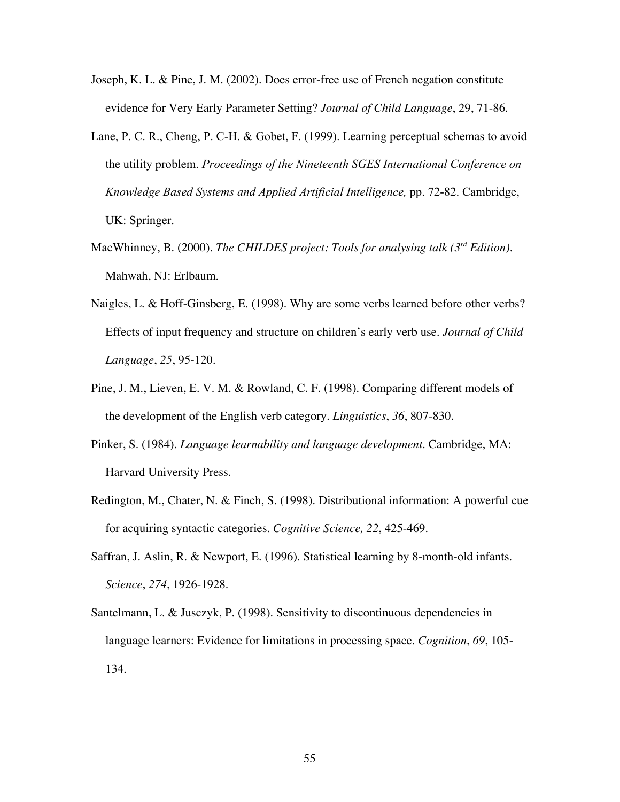- Joseph, K. L. & Pine, J. M. (2002). Does error-free use of French negation constitute evidence for Very Early Parameter Setting? *Journal of Child Language*, 29, 71-86.
- Lane, P. C. R., Cheng, P. C-H. & Gobet, F. (1999). Learning perceptual schemas to avoid the utility problem. *Proceedings of the Nineteenth SGES International Conference on Knowledge Based Systems and Applied Artificial Intelligence,* pp. 72-82. Cambridge, UK: Springer.
- MacWhinney, B. (2000). *The CHILDES project: Tools for analysing talk (3rd Edition)*. Mahwah, NJ: Erlbaum.
- Naigles, L. & Hoff-Ginsberg, E. (1998). Why are some verbs learned before other verbs? Effects of input frequency and structure on children's early verb use. *Journal of Child Language*, *25*, 95-120.
- Pine, J. M., Lieven, E. V. M. & Rowland, C. F. (1998). Comparing different models of the development of the English verb category. *Linguistics*, *36*, 807-830.
- Pinker, S. (1984). *Language learnability and language development*. Cambridge, MA: Harvard University Press.
- Redington, M., Chater, N. & Finch, S. (1998). Distributional information: A powerful cue for acquiring syntactic categories. *Cognitive Science, 22*, 425-469.
- Saffran, J. Aslin, R. & Newport, E. (1996). Statistical learning by 8-month-old infants. *Science*, *274*, 1926-1928.
- Santelmann, L. & Jusczyk, P. (1998). Sensitivity to discontinuous dependencies in language learners: Evidence for limitations in processing space. *Cognition*, *69*, 105- 134.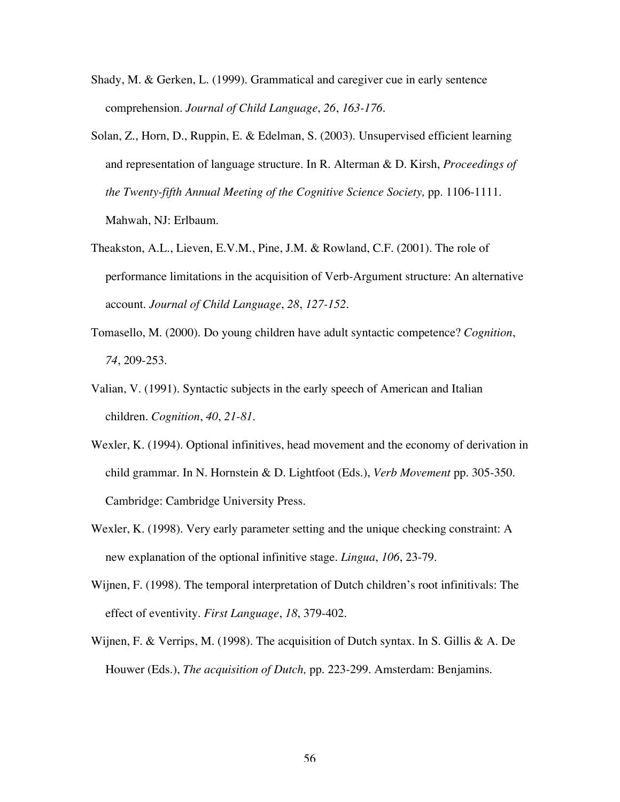- Shady, M. & Gerken, L. (1999). Grammatical and caregiver cue in early sentence comprehension. *Journal of Child Language*, *26*, *163-176*.
- Solan, Z., Horn, D., Ruppin, E. & Edelman, S. (2003). Unsupervised efficient learning and representation of language structure. In R. Alterman & D. Kirsh, *Proceedings of the Twenty-fifth Annual Meeting of the Cognitive Science Society,* pp. 1106-1111. Mahwah, NJ: Erlbaum.
- Theakston, A.L., Lieven, E.V.M., Pine, J.M. & Rowland, C.F. (2001). The role of performance limitations in the acquisition of Verb-Argument structure: An alternative account. *Journal of Child Language*, *28*, *127-152*.
- Tomasello, M. (2000). Do young children have adult syntactic competence? *Cognition*, *74*, 209-253.
- Valian, V. (1991). Syntactic subjects in the early speech of American and Italian children. *Cognition*, *40*, *21-81*.
- Wexler, K. (1994). Optional infinitives, head movement and the economy of derivation in child grammar. In N. Hornstein & D. Lightfoot (Eds.), *Verb Movement* pp. 305-350. Cambridge: Cambridge University Press.
- Wexler, K. (1998). Very early parameter setting and the unique checking constraint: A new explanation of the optional infinitive stage. *Lingua*, *106*, 23-79.
- Wijnen, F. (1998). The temporal interpretation of Dutch children's root infinitivals: The effect of eventivity. *First Language*, *18*, 379-402.
- Wijnen, F. & Verrips, M. (1998). The acquisition of Dutch syntax. In S. Gillis & A. De Houwer (Eds.), *The acquisition of Dutch,* pp. 223-299. Amsterdam: Benjamins.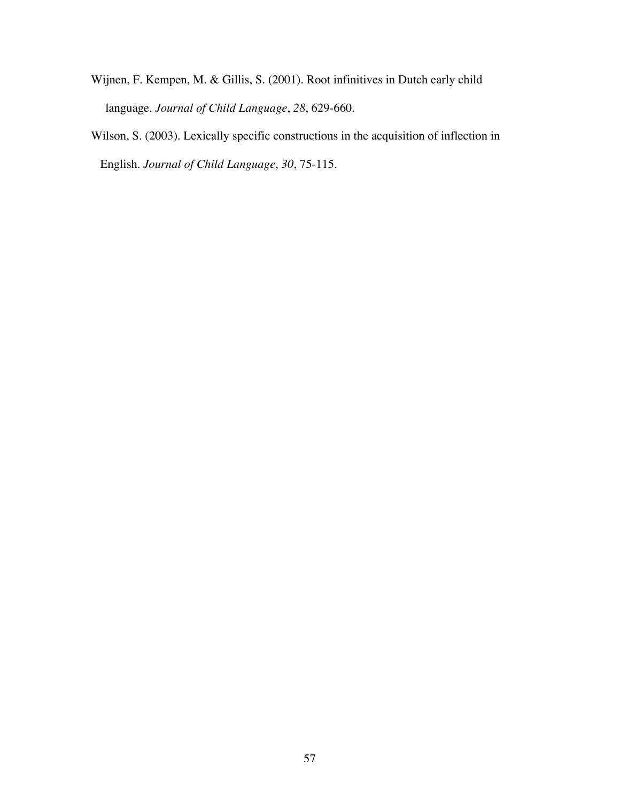- Wijnen, F. Kempen, M. & Gillis, S. (2001). Root infinitives in Dutch early child language. *Journal of Child Language*, *28*, 629-660*.*
- Wilson, S. (2003). Lexically specific constructions in the acquisition of inflection in English. *Journal of Child Language*, *30*, 75-115.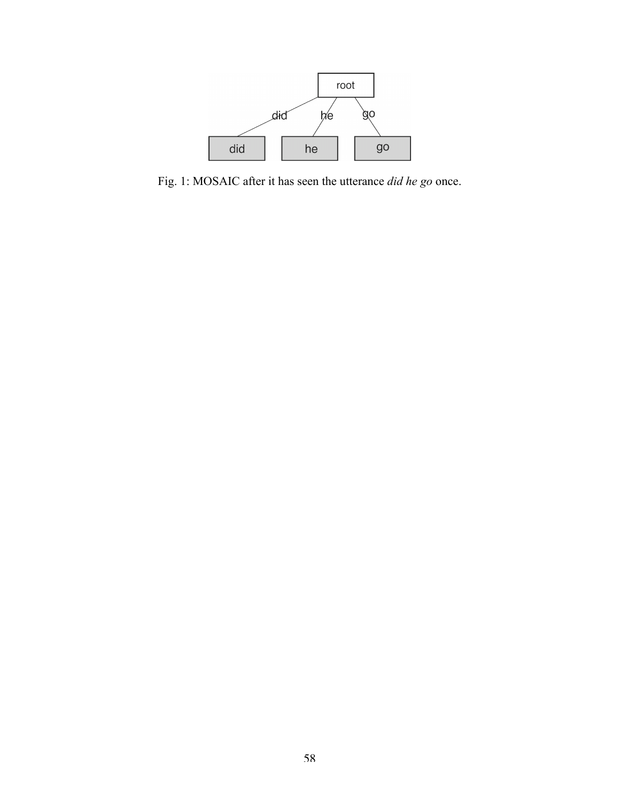

Fig. 1: MOSAIC after it has seen the utterance *did he go* once.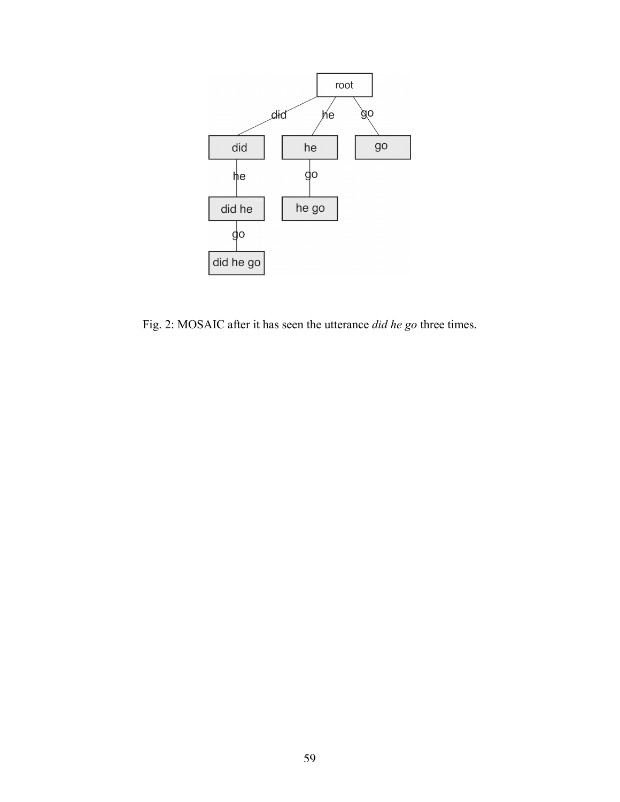

Fig. 2: MOSAIC after it has seen the utterance *did he go* three times.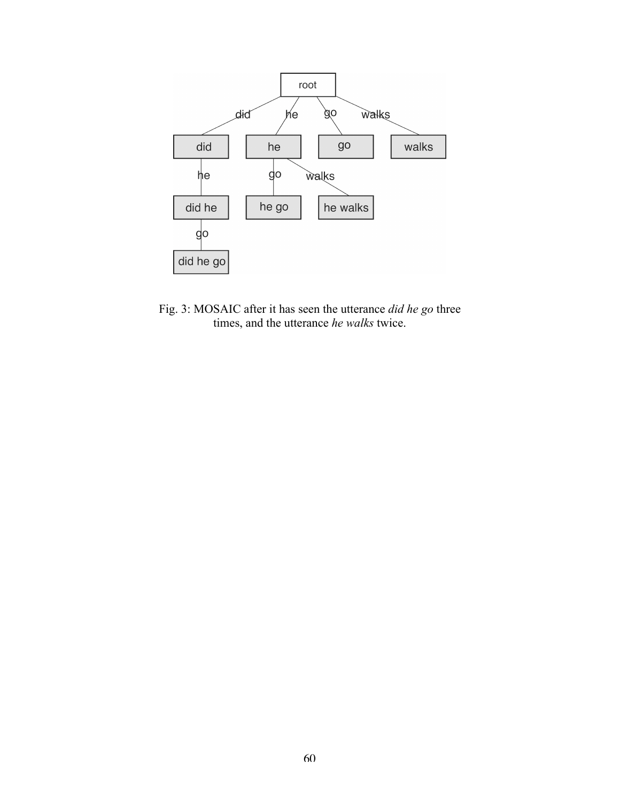

Fig. 3: MOSAIC after it has seen the utterance *did he go* three times, and the utterance *he walks* twice.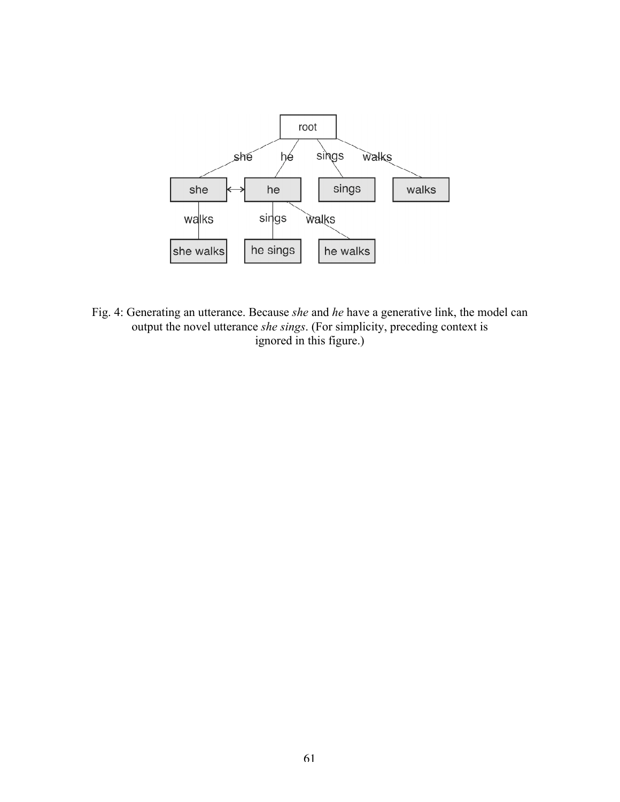

Fig. 4: Generating an utterance. Because *she* and *he* have a generative link, the model can output the novel utterance *she sings*. (For simplicity, preceding context is ignored in this figure.)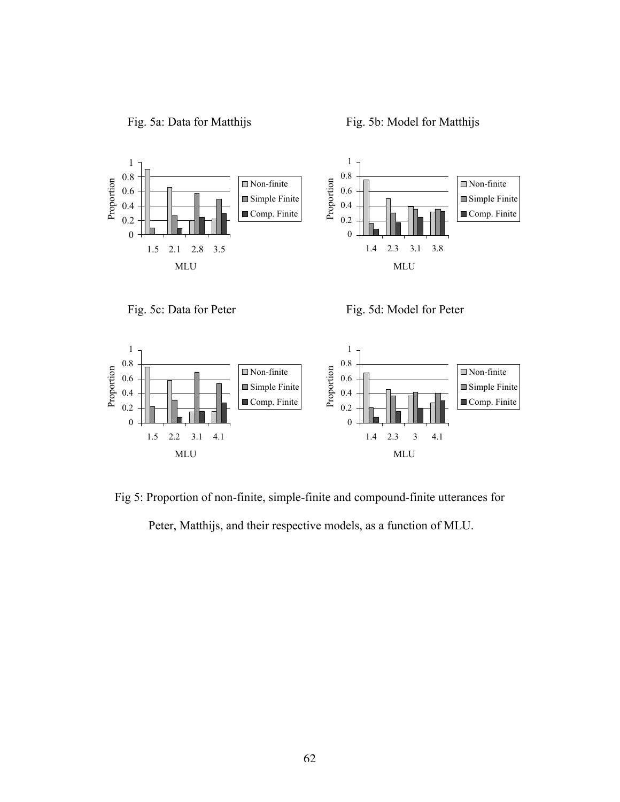



Fig. 5c: Data for Peter Fig. 5d: Model for Peter



Fig 5: Proportion of non-finite, simple-finite and compound-finite utterances for Peter, Matthijs, and their respective models, as a function of MLU.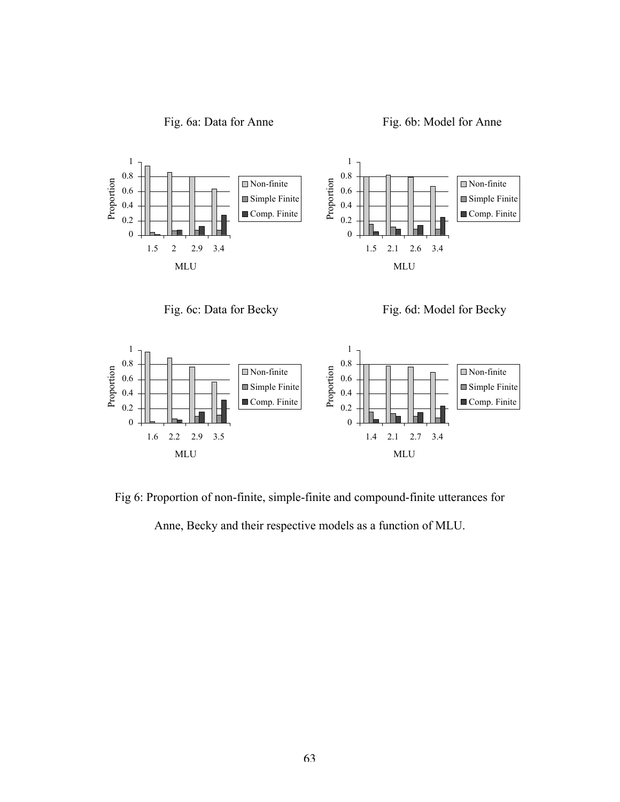



Fig. 6c: Data for Becky Fig. 6d: Model for Becky



Fig 6: Proportion of non-finite, simple-finite and compound-finite utterances for

Anne, Becky and their respective models as a function of MLU.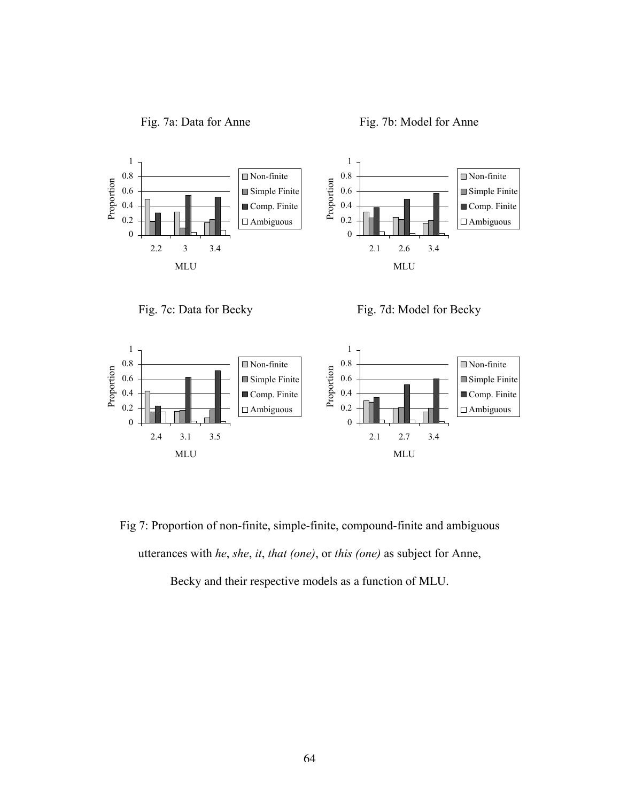



Fig. 7c: Data for Becky Fig. 7d: Model for Becky



Fig 7: Proportion of non-finite, simple-finite, compound-finite and ambiguous utterances with *he*, *she*, *it*, *that (one)*, or *this (one)* as subject for Anne,

Becky and their respective models as a function of MLU.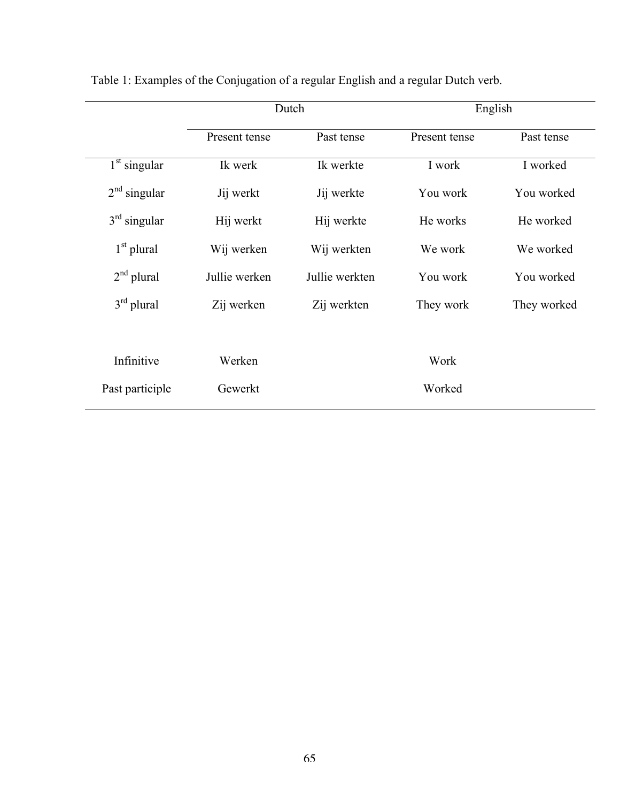|                                       |               | Dutch          | English       |             |  |  |
|---------------------------------------|---------------|----------------|---------------|-------------|--|--|
|                                       | Present tense | Past tense     | Present tense | Past tense  |  |  |
| $\overline{1}$ <sup>st</sup> singular | Ik werk       | Ik werkte      | I work        | I worked    |  |  |
| $2nd$ singular                        | Jij werkt     | Jij werkte     | You work      | You worked  |  |  |
| $3rd$ singular                        | Hij werkt     | Hij werkte     | He works      | He worked   |  |  |
| $1st$ plural                          | Wij werken    | Wij werkten    | We work       | We worked   |  |  |
| $2nd$ plural                          | Jullie werken | Jullie werkten | You work      | You worked  |  |  |
| $3rd$ plural                          | Zij werken    | Zij werkten    | They work     | They worked |  |  |
|                                       |               |                |               |             |  |  |
| Infinitive                            | Werken        |                | Work          |             |  |  |
| Past participle                       | Gewerkt       |                | Worked        |             |  |  |

Table 1: Examples of the Conjugation of a regular English and a regular Dutch verb.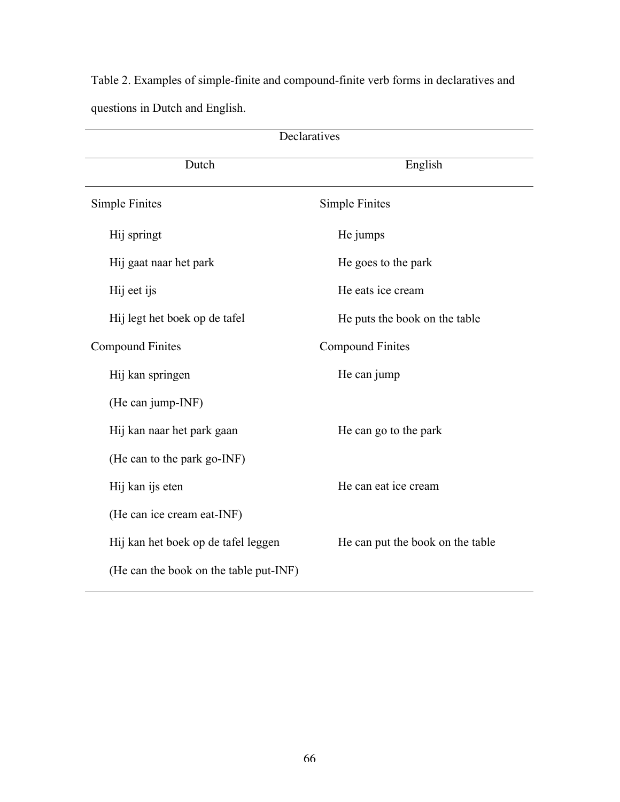Table 2. Examples of simple-finite and compound-finite verb forms in declaratives and questions in Dutch and English.

| Declaratives                           |                                  |  |  |  |  |
|----------------------------------------|----------------------------------|--|--|--|--|
| Dutch                                  | English                          |  |  |  |  |
| Simple Finites                         | <b>Simple Finites</b>            |  |  |  |  |
| Hij springt                            | He jumps                         |  |  |  |  |
| Hij gaat naar het park                 | He goes to the park              |  |  |  |  |
| Hij eet ijs                            | He eats ice cream                |  |  |  |  |
| Hij legt het boek op de tafel          | He puts the book on the table    |  |  |  |  |
| <b>Compound Finites</b>                | <b>Compound Finites</b>          |  |  |  |  |
| Hij kan springen                       | He can jump                      |  |  |  |  |
| (He can jump-INF)                      |                                  |  |  |  |  |
| Hij kan naar het park gaan             | He can go to the park            |  |  |  |  |
| (He can to the park go-INF)            |                                  |  |  |  |  |
| Hij kan ijs eten                       | He can eat ice cream             |  |  |  |  |
| (He can ice cream eat-INF)             |                                  |  |  |  |  |
| Hij kan het boek op de tafel leggen    | He can put the book on the table |  |  |  |  |
| (He can the book on the table put-INF) |                                  |  |  |  |  |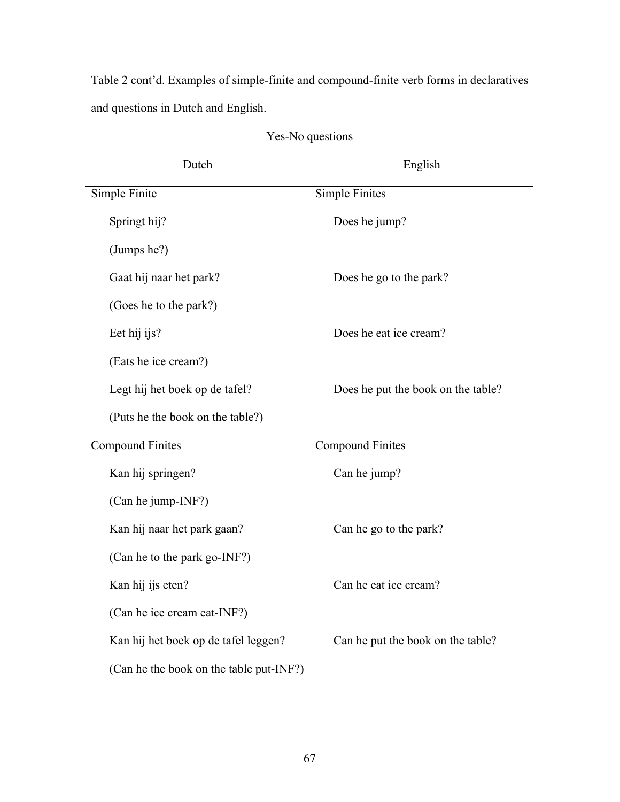Table 2 cont'd. Examples of simple-finite and compound-finite verb forms in declaratives and questions in Dutch and English.

| Yes-No questions                        |                                    |  |  |  |  |
|-----------------------------------------|------------------------------------|--|--|--|--|
| Dutch                                   | English                            |  |  |  |  |
| Simple Finite                           | <b>Simple Finites</b>              |  |  |  |  |
| Springt hij?                            | Does he jump?                      |  |  |  |  |
| (Jumps he?)                             |                                    |  |  |  |  |
| Gaat hij naar het park?                 | Does he go to the park?            |  |  |  |  |
| (Goes he to the park?)                  |                                    |  |  |  |  |
| Eet hij ijs?                            | Does he eat ice cream?             |  |  |  |  |
| (Eats he ice cream?)                    |                                    |  |  |  |  |
| Legt hij het boek op de tafel?          | Does he put the book on the table? |  |  |  |  |
| (Puts he the book on the table?)        |                                    |  |  |  |  |
| <b>Compound Finites</b>                 | <b>Compound Finites</b>            |  |  |  |  |
| Kan hij springen?                       | Can he jump?                       |  |  |  |  |
| (Can he jump-INF?)                      |                                    |  |  |  |  |
| Kan hij naar het park gaan?             | Can he go to the park?             |  |  |  |  |
| (Can he to the park go-INF?)            |                                    |  |  |  |  |
| Kan hij ijs eten?                       | Can he eat ice cream?              |  |  |  |  |
| (Can he ice cream eat-INF?)             |                                    |  |  |  |  |
| Kan hij het boek op de tafel leggen?    | Can he put the book on the table?  |  |  |  |  |
| (Can he the book on the table put-INF?) |                                    |  |  |  |  |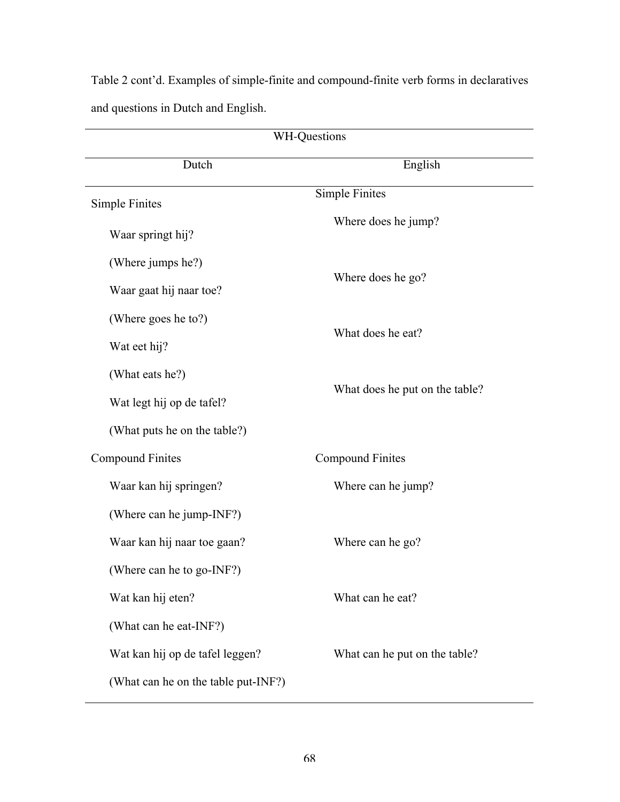Table 2 cont'd. Examples of simple-finite and compound-finite verb forms in declaratives and questions in Dutch and English.

| <b>WH-Questions</b>                 |                                |  |  |  |  |
|-------------------------------------|--------------------------------|--|--|--|--|
| Dutch                               | English                        |  |  |  |  |
| Simple Finites                      | <b>Simple Finites</b>          |  |  |  |  |
| Waar springt hij?                   | Where does he jump?            |  |  |  |  |
| (Where jumps he?)                   |                                |  |  |  |  |
| Waar gaat hij naar toe?             | Where does he go?              |  |  |  |  |
| (Where goes he to?)                 |                                |  |  |  |  |
| Wat eet hij?                        | What does he eat?              |  |  |  |  |
| (What eats he?)                     |                                |  |  |  |  |
| Wat legt hij op de tafel?           | What does he put on the table? |  |  |  |  |
| (What puts he on the table?)        |                                |  |  |  |  |
| <b>Compound Finites</b>             | <b>Compound Finites</b>        |  |  |  |  |
| Waar kan hij springen?              | Where can he jump?             |  |  |  |  |
| (Where can he jump-INF?)            |                                |  |  |  |  |
| Waar kan hij naar toe gaan?         | Where can he go?               |  |  |  |  |
| (Where can he to go-INF?)           |                                |  |  |  |  |
| Wat kan hij eten?                   | What can he eat?               |  |  |  |  |
| (What can he eat-INF?)              |                                |  |  |  |  |
| Wat kan hij op de tafel leggen?     | What can he put on the table?  |  |  |  |  |
| (What can he on the table put-INF?) |                                |  |  |  |  |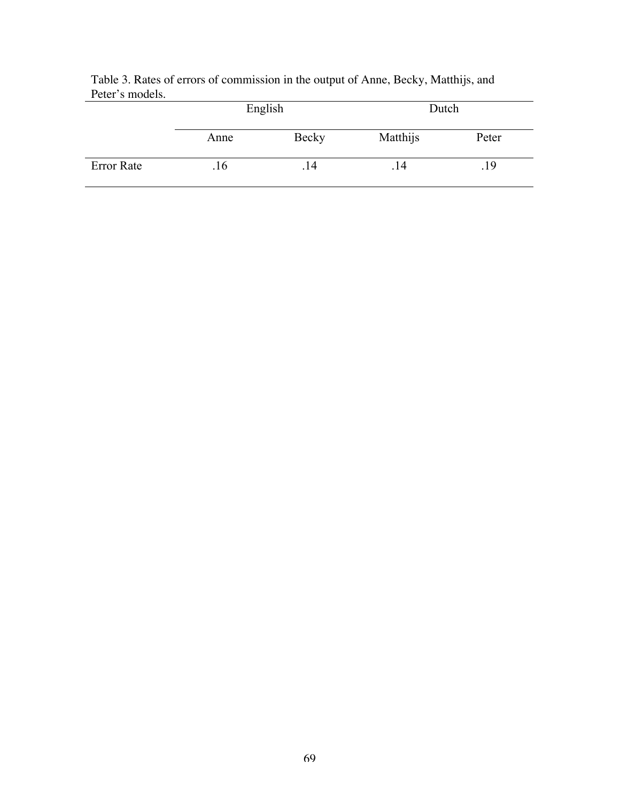|            |      | English | Dutch    |       |  |
|------------|------|---------|----------|-------|--|
|            | Anne | Becky   | Matthijs | Peter |  |
| Error Rate | .16  | . 14    | . 14     | .19   |  |

|                 | Table 3. Rates of errors of commission in the output of Anne, Becky, Matthijs, and |  |  |  |
|-----------------|------------------------------------------------------------------------------------|--|--|--|
| Peter's models. |                                                                                    |  |  |  |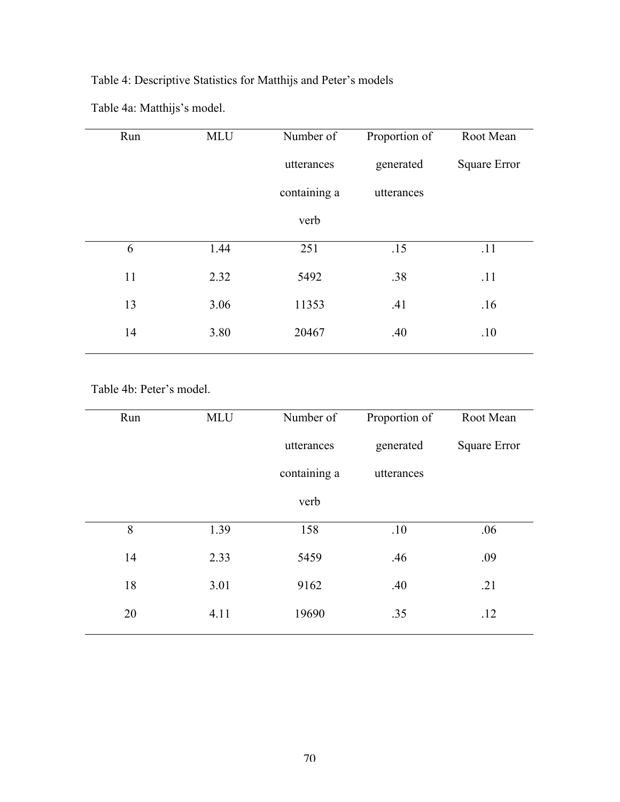# Table 4: Descriptive Statistics for Matthijs and Peter's models

Table 4a: Matthijs's model.

| Run | <b>MLU</b> | Number of    | Proportion of | Root Mean           |
|-----|------------|--------------|---------------|---------------------|
|     |            | utterances   | generated     | <b>Square Error</b> |
|     |            | containing a | utterances    |                     |
|     |            | verb         |               |                     |
| 6   | 1.44       | 251          | .15           | .11                 |
| 11  | 2.32       | 5492         | .38           | .11                 |
| 13  | 3.06       | 11353        | .41           | .16                 |
| 14  | 3.80       | 20467        | .40           | .10                 |
|     |            |              |               |                     |

Table 4b: Peter's model.

| Run | <b>MLU</b> | Number of    | Proportion of | Root Mean           |
|-----|------------|--------------|---------------|---------------------|
|     |            | utterances   | generated     | <b>Square Error</b> |
|     |            | containing a | utterances    |                     |
|     |            | verb         |               |                     |
| 8   | 1.39       | 158          | .10           | .06                 |
| 14  | 2.33       | 5459         | .46           | .09                 |
| 18  | 3.01       | 9162         | .40           | .21                 |
| 20  | 4.11       | 19690        | .35           | .12                 |
|     |            |              |               |                     |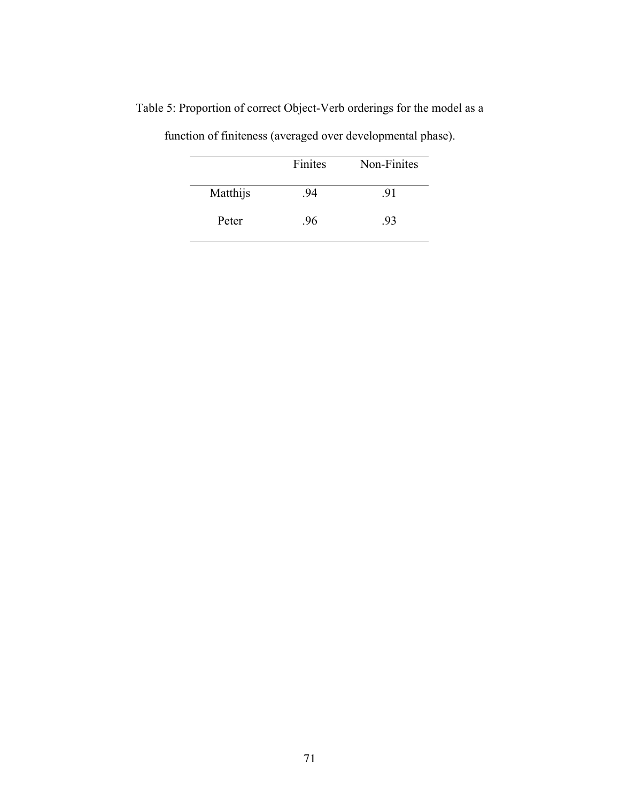|          | Finites | Non-Finites |
|----------|---------|-------------|
| Matthijs | 94      | .91         |
| Peter    | .96     | .93         |

Table 5: Proportion of correct Object-Verb orderings for the model as a

function of finiteness (averaged over developmental phase).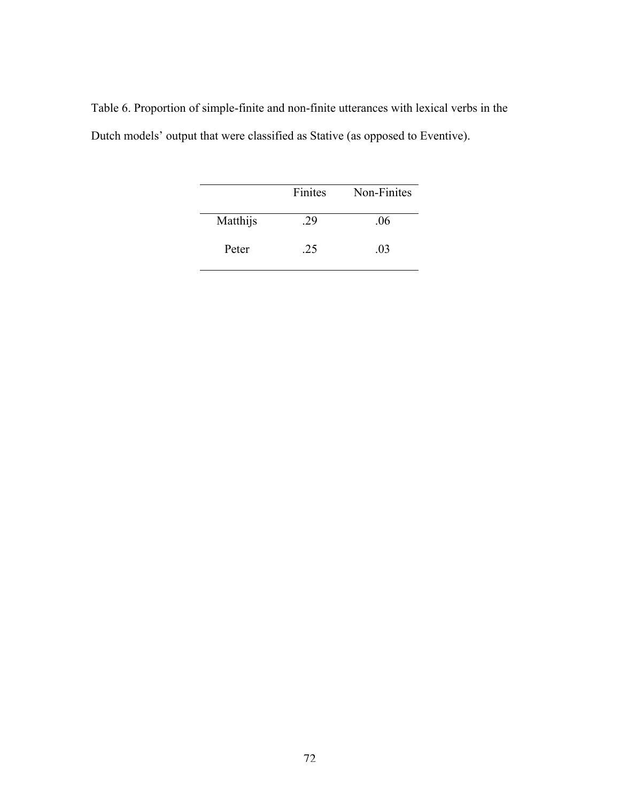|  |  |  | Table 6. Proportion of simple-finite and non-finite utterances with lexical verbs in the |  |  |
|--|--|--|------------------------------------------------------------------------------------------|--|--|
|  |  |  | Dutch models' output that were classified as Stative (as opposed to Eventive).           |  |  |

|          | Finites | Non-Finites |
|----------|---------|-------------|
| Matthijs | 29      | .06         |
| Peter    | 25      | .03         |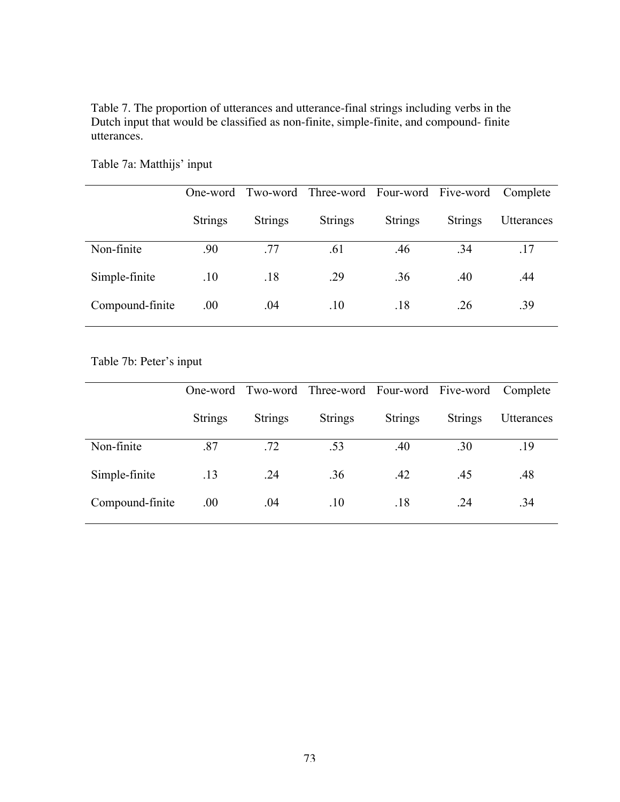Table 7. The proportion of utterances and utterance-final strings including verbs in the Dutch input that would be classified as non-finite, simple-finite, and compound- finite utterances.

|                 | One-word       |                | Two-word Three-word Four-word Five-word |                |                | Complete          |
|-----------------|----------------|----------------|-----------------------------------------|----------------|----------------|-------------------|
|                 | <b>Strings</b> | <b>Strings</b> | <b>Strings</b>                          | <b>Strings</b> | <b>Strings</b> | <b>Utterances</b> |
| Non-finite      | .90            | .77            | .61                                     | .46            | .34            | .17               |
| Simple-finite   | .10            | .18            | .29                                     | .36            | .40            | .44               |
| Compound-finite | .00.           | .04            | .10                                     | .18            | .26            | .39               |

Table 7a: Matthijs' input

Table 7b: Peter's input

|                 | One-word       |                | Two-word Three-word Four-word Five-word |                |                | Complete   |
|-----------------|----------------|----------------|-----------------------------------------|----------------|----------------|------------|
|                 | <b>Strings</b> | <b>Strings</b> | <b>Strings</b>                          | <b>Strings</b> | <b>Strings</b> | Utterances |
| Non-finite      | .87            | .72            | .53                                     | .40            | .30            | .19        |
| Simple-finite   | .13            | .24            | .36                                     | .42            | .45            | .48        |
| Compound-finite | .00.           | .04            | .10                                     | .18            | .24            | .34        |